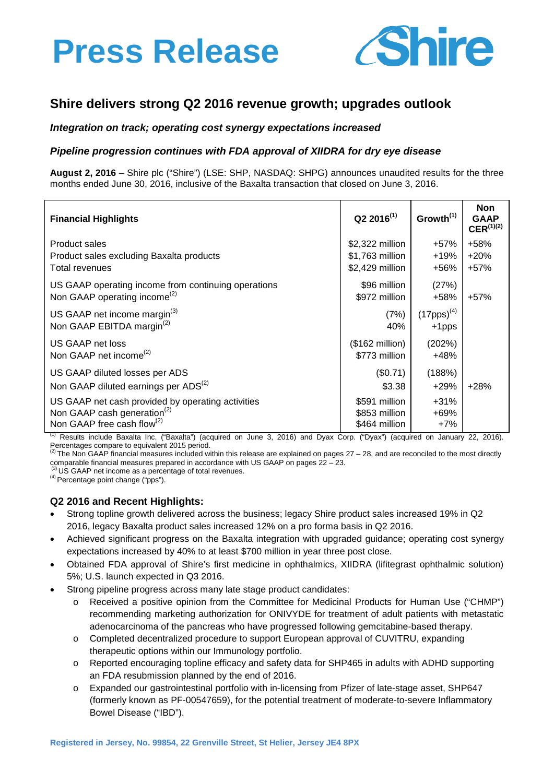# **Press Release**



# **Shire delivers strong Q2 2016 revenue growth; upgrades outlook**

# *Integration on track; operating cost synergy expectations increased*

## *Pipeline progression continues with FDA approval of XIIDRA for dry eye disease*

**August 2, 2016** – Shire plc ("Shire") (LSE: SHP, NASDAQ: SHPG) announces unaudited results for the three months ended June 30, 2016, inclusive of the Baxalta transaction that closed on June 3, 2016.

| <b>Financial Highlights</b>                         | $Q22016^{(1)}$   | Growth $(1)$            | <b>Non</b><br><b>GAAP</b><br>$CER^{(1)(2)}$ |
|-----------------------------------------------------|------------------|-------------------------|---------------------------------------------|
| Product sales                                       | \$2,322 million  | $+57%$                  | +58%                                        |
| Product sales excluding Baxalta products            | \$1,763 million  | $+19%$                  | $+20%$                                      |
| Total revenues                                      | \$2,429 million  | +56%                    | $+57%$                                      |
| US GAAP operating income from continuing operations | \$96 million     | (27%)                   | $+57%$                                      |
| Non GAAP operating income <sup>(2)</sup>            | \$972 million    | +58%                    |                                             |
| US GAAP net income margin $^{(3)}$                  | (7%)             | $(17 \text{pps})^{(4)}$ |                                             |
| Non GAAP EBITDA margin <sup>(2)</sup>               | 40%              | $+1$ pps                |                                             |
| US GAAP net loss                                    | $($162$ million) | (202%)                  |                                             |
| Non GAAP net income <sup>(2)</sup>                  | \$773 million    | $+48%$                  |                                             |
| US GAAP diluted losses per ADS                      | (\$0.71)         | (188%)                  | $+28%$                                      |
| Non GAAP diluted earnings per ADS <sup>(2)</sup>    | \$3.38           | $+29%$                  |                                             |
| US GAAP net cash provided by operating activities   | \$591 million    | $+31%$                  |                                             |
| Non GAAP cash generation <sup>(2)</sup>             | \$853 million    | +69%                    |                                             |
| Non GAAP free cash flow <sup>(2)</sup>              | \$464 million    | $+7%$                   |                                             |

 $\frac{(1)}{10}$  Results include Baxalta Inc. ("Baxalta") (acquired on June 3, 2016) and Dvax Corp. ("Dvax") (acquired on January 22, 2016). Percentages compare to equivalent 2015 period.<br><sup>(2)</sup> The Non GAAP financial measures included within this release are explained on pages 27 – 28, and are reconciled to the most directly

comparable financial measures prepared in accordance with US GAAP on pages 22 – 23.<br><sup>(3)</sup> US GAAP net income as a percentage of total revenues.

<sup>(4)</sup> Percentage point change ("pps").

# **Q2 2016 and Recent Highlights:**

- Strong topline growth delivered across the business; legacy Shire product sales increased 19% in Q2 2016, legacy Baxalta product sales increased 12% on a pro forma basis in Q2 2016.
- Achieved significant progress on the Baxalta integration with upgraded guidance; operating cost synergy expectations increased by 40% to at least \$700 million in year three post close.
- Obtained FDA approval of Shire's first medicine in ophthalmics, XIIDRA (lifitegrast ophthalmic solution) 5%; U.S. launch expected in Q3 2016.
- Strong pipeline progress across many late stage product candidates:
	- o Received a positive opinion from the Committee for Medicinal Products for Human Use ("CHMP") recommending marketing authorization for ONIVYDE for treatment of adult patients with metastatic adenocarcinoma of the pancreas who have progressed following gemcitabine-based therapy.
	- o Completed decentralized procedure to support European approval of CUVITRU, expanding therapeutic options within our Immunology portfolio.
	- o Reported encouraging topline efficacy and safety data for SHP465 in adults with ADHD supporting an FDA resubmission planned by the end of 2016.
	- o Expanded our gastrointestinal portfolio with in-licensing from Pfizer of late-stage asset, SHP647 (formerly known as PF-00547659), for the potential treatment of moderate-to-severe Inflammatory Bowel Disease ("IBD").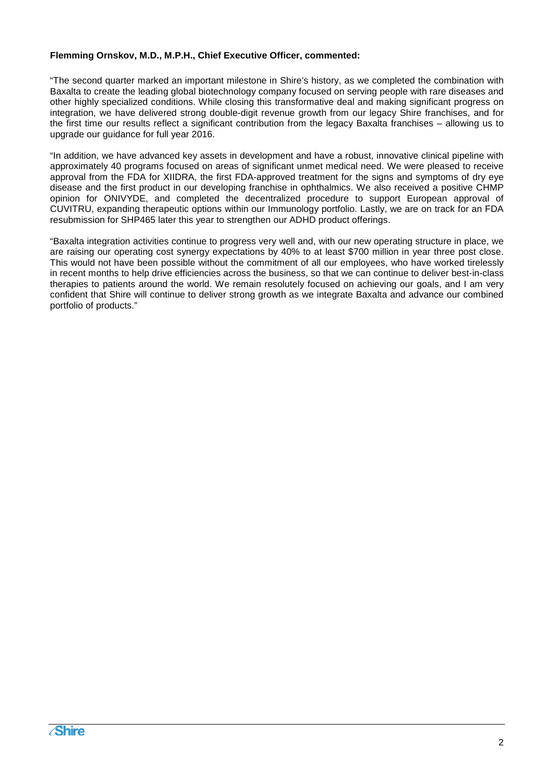#### **Flemming Ornskov, M.D., M.P.H., Chief Executive Officer, commented:**

"The second quarter marked an important milestone in Shire's history, as we completed the combination with Baxalta to create the leading global biotechnology company focused on serving people with rare diseases and other highly specialized conditions. While closing this transformative deal and making significant progress on integration, we have delivered strong double-digit revenue growth from our legacy Shire franchises, and for the first time our results reflect a significant contribution from the legacy Baxalta franchises – allowing us to upgrade our guidance for full year 2016.

"In addition, we have advanced key assets in development and have a robust, innovative clinical pipeline with approximately 40 programs focused on areas of significant unmet medical need. We were pleased to receive approval from the FDA for XIIDRA, the first FDA-approved treatment for the signs and symptoms of dry eye disease and the first product in our developing franchise in ophthalmics. We also received a positive CHMP opinion for ONIVYDE, and completed the decentralized procedure to support European approval of CUVITRU, expanding therapeutic options within our Immunology portfolio. Lastly, we are on track for an FDA resubmission for SHP465 later this year to strengthen our ADHD product offerings.

"Baxalta integration activities continue to progress very well and, with our new operating structure in place, we are raising our operating cost synergy expectations by 40% to at least \$700 million in year three post close. This would not have been possible without the commitment of all our employees, who have worked tirelessly in recent months to help drive efficiencies across the business, so that we can continue to deliver best-in-class therapies to patients around the world. We remain resolutely focused on achieving our goals, and I am very confident that Shire will continue to deliver strong growth as we integrate Baxalta and advance our combined portfolio of products."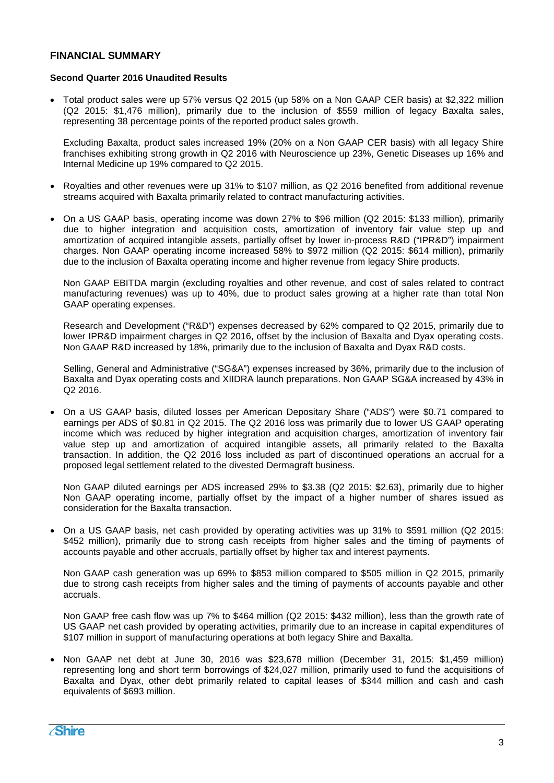#### **FINANCIAL SUMMARY**

#### **Second Quarter 2016 Unaudited Results**

• Total product sales were up 57% versus Q2 2015 (up 58% on a Non GAAP CER basis) at \$2,322 million (Q2 2015: \$1,476 million), primarily due to the inclusion of \$559 million of legacy Baxalta sales, representing 38 percentage points of the reported product sales growth.

Excluding Baxalta, product sales increased 19% (20% on a Non GAAP CER basis) with all legacy Shire franchises exhibiting strong growth in Q2 2016 with Neuroscience up 23%, Genetic Diseases up 16% and Internal Medicine up 19% compared to Q2 2015.

- Royalties and other revenues were up 31% to \$107 million, as Q2 2016 benefited from additional revenue streams acquired with Baxalta primarily related to contract manufacturing activities.
- On a US GAAP basis, operating income was down 27% to \$96 million (Q2 2015: \$133 million), primarily due to higher integration and acquisition costs, amortization of inventory fair value step up and amortization of acquired intangible assets, partially offset by lower in-process R&D ("IPR&D") impairment charges. Non GAAP operating income increased 58% to \$972 million (Q2 2015: \$614 million), primarily due to the inclusion of Baxalta operating income and higher revenue from legacy Shire products.

Non GAAP EBITDA margin (excluding royalties and other revenue, and cost of sales related to contract manufacturing revenues) was up to 40%, due to product sales growing at a higher rate than total Non GAAP operating expenses.

Research and Development ("R&D") expenses decreased by 62% compared to Q2 2015, primarily due to lower IPR&D impairment charges in Q2 2016, offset by the inclusion of Baxalta and Dyax operating costs. Non GAAP R&D increased by 18%, primarily due to the inclusion of Baxalta and Dyax R&D costs.

Selling, General and Administrative ("SG&A") expenses increased by 36%, primarily due to the inclusion of Baxalta and Dyax operating costs and XIIDRA launch preparations. Non GAAP SG&A increased by 43% in Q2 2016.

• On a US GAAP basis, diluted losses per American Depositary Share ("ADS") were \$0.71 compared to earnings per ADS of \$0.81 in Q2 2015. The Q2 2016 loss was primarily due to lower US GAAP operating income which was reduced by higher integration and acquisition charges, amortization of inventory fair value step up and amortization of acquired intangible assets, all primarily related to the Baxalta transaction. In addition, the Q2 2016 loss included as part of discontinued operations an accrual for a proposed legal settlement related to the divested Dermagraft business.

Non GAAP diluted earnings per ADS increased 29% to \$3.38 (Q2 2015: \$2.63), primarily due to higher Non GAAP operating income, partially offset by the impact of a higher number of shares issued as consideration for the Baxalta transaction.

• On a US GAAP basis, net cash provided by operating activities was up 31% to \$591 million (Q2 2015: \$452 million), primarily due to strong cash receipts from higher sales and the timing of payments of accounts payable and other accruals, partially offset by higher tax and interest payments.

Non GAAP cash generation was up 69% to \$853 million compared to \$505 million in Q2 2015, primarily due to strong cash receipts from higher sales and the timing of payments of accounts payable and other accruals.

Non GAAP free cash flow was up 7% to \$464 million (Q2 2015: \$432 million), less than the growth rate of US GAAP net cash provided by operating activities, primarily due to an increase in capital expenditures of \$107 million in support of manufacturing operations at both legacy Shire and Baxalta.

• Non GAAP net debt at June 30, 2016 was \$23,678 million (December 31, 2015: \$1,459 million) representing long and short term borrowings of \$24,027 million, primarily used to fund the acquisitions of Baxalta and Dyax, other debt primarily related to capital leases of \$344 million and cash and cash equivalents of \$693 million.

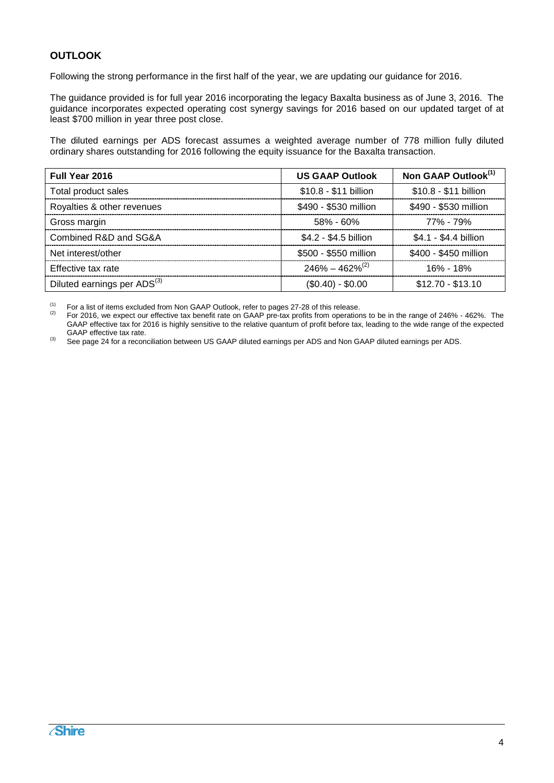# **OUTLOOK**

Following the strong performance in the first half of the year, we are updating our guidance for 2016.

The guidance provided is for full year 2016 incorporating the legacy Baxalta business as of June 3, 2016. The guidance incorporates expected operating cost synergy savings for 2016 based on our updated target of at least \$700 million in year three post close.

The diluted earnings per ADS forecast assumes a weighted average number of 778 million fully diluted ordinary shares outstanding for 2016 following the equity issuance for the Baxalta transaction.

| <b>Full Year 2016</b>                   | <b>US GAAP Outlook</b> | Non GAAP Outlook <sup>(1)</sup> |
|-----------------------------------------|------------------------|---------------------------------|
| Total product sales                     | \$10.8 - \$11 billion  | \$10.8 - \$11 billion           |
| Royalties & other revenues              | \$490 - \$530 million  | \$490 - \$530 million           |
| Gross margin                            | 58% - 60%              | 77% - 79%                       |
| Combined R&D and SG&A                   | $$4.2 - $4.5$ billion  | \$4.1 - \$4.4 billion           |
| Net interest/other                      | \$500 - \$550 million  | \$400 - \$450 million           |
| Effective tax rate                      | $246\% - 462\%^{(2)}$  | 16% - 18%                       |
| Diluted earnings per ADS <sup>(3)</sup> | $($0.40) - $0.00$      | $$12.70 - $13.10$               |

(1) For a list of items excluded from Non GAAP Outlook, refer to pages 27-28 of this release.

For 2016, we expect our effective tax benefit rate on GAAP pre-tax profits from operations to be in the range of 246% - 462%. The GAAP effective tax for 2016 is highly sensitive to the relative quantum of profit before tax, leading to the wide range of the expected GAAP effective tax rate.

(3) See page 24 for a reconciliation between US GAAP diluted earnings per ADS and Non GAAP diluted earnings per ADS.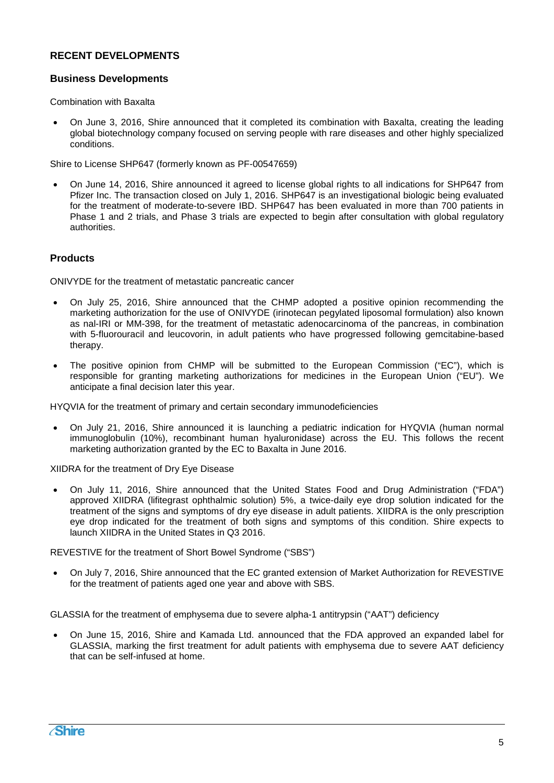# **RECENT DEVELOPMENTS**

# **Business Developments**

Combination with Baxalta

• On June 3, 2016, Shire announced that it completed its combination with Baxalta, creating the leading global biotechnology company focused on serving people with rare diseases and other highly specialized conditions.

Shire to License SHP647 (formerly known as PF-00547659)

• On June 14, 2016, Shire announced it agreed to license global rights to all indications for SHP647 from Pfizer Inc. The transaction closed on July 1, 2016. SHP647 is an investigational biologic being evaluated for the treatment of moderate-to-severe IBD. SHP647 has been evaluated in more than 700 patients in Phase 1 and 2 trials, and Phase 3 trials are expected to begin after consultation with global regulatory authorities.

## **Products**

ONIVYDE for the treatment of metastatic pancreatic cancer

- On July 25, 2016, Shire announced that the CHMP adopted a positive opinion recommending the marketing authorization for the use of ONIVYDE (irinotecan pegylated liposomal formulation) also known as nal-IRI or MM-398, for the treatment of metastatic adenocarcinoma of the pancreas, in combination with 5-fluorouracil and leucovorin, in adult patients who have progressed following gemcitabine-based therapy.
- The positive opinion from CHMP will be submitted to the European Commission ("EC"), which is responsible for granting marketing authorizations for medicines in the European Union ("EU"). We anticipate a final decision later this year.

HYQVIA for the treatment of primary and certain secondary immunodeficiencies

• On July 21, 2016, Shire announced it is launching a pediatric indication for HYQVIA (human normal immunoglobulin (10%), recombinant human hyaluronidase) across the EU. This follows the recent marketing authorization granted by the EC to Baxalta in June 2016.

XIIDRA for the treatment of Dry Eye Disease

• On July 11, 2016, Shire announced that the United States Food and Drug Administration ("FDA") approved XIIDRA (lifitegrast ophthalmic solution) 5%, a twice-daily eye drop solution indicated for the treatment of the signs and symptoms of dry eye disease in adult patients. XIIDRA is the only prescription eye drop indicated for the treatment of both signs and symptoms of this condition. Shire expects to launch XIIDRA in the United States in Q3 2016.

REVESTIVE for the treatment of Short Bowel Syndrome ("SBS")

• On July 7, 2016, Shire announced that the EC granted extension of Market Authorization for REVESTIVE for the treatment of patients aged one year and above with SBS.

GLASSIA for the treatment of emphysema due to severe alpha-1 antitrypsin ("AAT") deficiency

• On June 15, 2016, Shire and Kamada Ltd. announced that the FDA approved an expanded label for GLASSIA, marking the first treatment for adult patients with emphysema due to severe AAT deficiency that can be self-infused at home.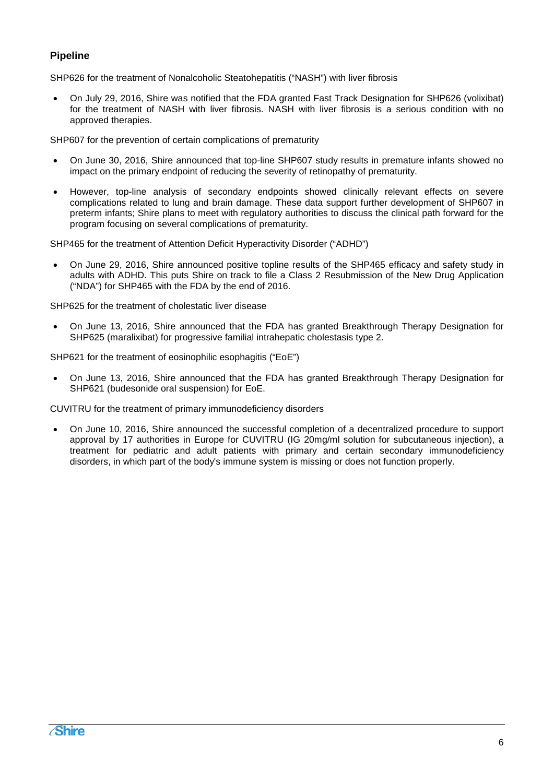# **Pipeline**

SHP626 for the treatment of Nonalcoholic Steatohepatitis ("NASH") with liver fibrosis

• On July 29, 2016, Shire was notified that the FDA granted Fast Track Designation for SHP626 (volixibat) for the treatment of NASH with liver fibrosis. NASH with liver fibrosis is a serious condition with no approved therapies.

SHP607 for the prevention of certain complications of prematurity

- On June 30, 2016, Shire announced that top-line SHP607 study results in premature infants showed no impact on the primary endpoint of reducing the severity of retinopathy of prematurity.
- However, top-line analysis of secondary endpoints showed clinically relevant effects on severe complications related to lung and brain damage. These data support further development of SHP607 in preterm infants; Shire plans to meet with regulatory authorities to discuss the clinical path forward for the program focusing on several complications of prematurity.

SHP465 for the treatment of Attention Deficit Hyperactivity Disorder ("ADHD")

• On June 29, 2016, Shire announced positive topline results of the SHP465 efficacy and safety study in adults with ADHD. This puts Shire on track to file a Class 2 Resubmission of the New Drug Application ("NDA") for SHP465 with the FDA by the end of 2016.

SHP625 for the treatment of cholestatic liver disease

• On June 13, 2016, Shire announced that the FDA has granted Breakthrough Therapy Designation for SHP625 (maralixibat) for progressive familial intrahepatic cholestasis type 2.

SHP621 for the treatment of eosinophilic esophagitis ("EoE")

• On June 13, 2016, Shire announced that the FDA has granted Breakthrough Therapy Designation for SHP621 (budesonide oral suspension) for EoE.

CUVITRU for the treatment of primary immunodeficiency disorders

• On June 10, 2016, Shire announced the successful completion of a decentralized procedure to support approval by 17 authorities in Europe for CUVITRU (IG 20mg/ml solution for subcutaneous injection), a treatment for pediatric and adult patients with primary and certain secondary immunodeficiency disorders, in which part of the body's immune system is missing or does not function properly.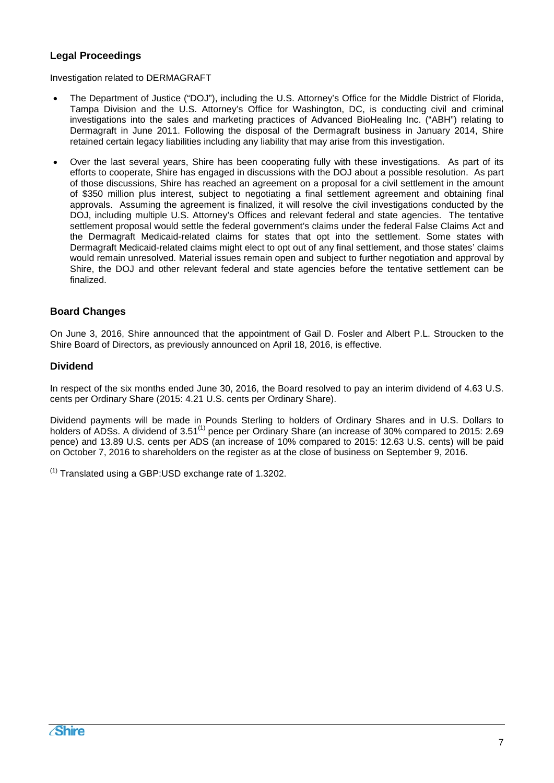# **Legal Proceedings**

Investigation related to DERMAGRAFT

- The Department of Justice ("DOJ"), including the U.S. Attorney's Office for the Middle District of Florida, Tampa Division and the U.S. Attorney's Office for Washington, DC, is conducting civil and criminal investigations into the sales and marketing practices of Advanced BioHealing Inc. ("ABH") relating to Dermagraft in June 2011. Following the disposal of the Dermagraft business in January 2014, Shire retained certain legacy liabilities including any liability that may arise from this investigation.
- Over the last several years, Shire has been cooperating fully with these investigations. As part of its efforts to cooperate, Shire has engaged in discussions with the DOJ about a possible resolution. As part of those discussions, Shire has reached an agreement on a proposal for a civil settlement in the amount of \$350 million plus interest, subject to negotiating a final settlement agreement and obtaining final approvals. Assuming the agreement is finalized, it will resolve the civil investigations conducted by the DOJ, including multiple U.S. Attorney's Offices and relevant federal and state agencies. The tentative settlement proposal would settle the federal government's claims under the federal False Claims Act and the Dermagraft Medicaid-related claims for states that opt into the settlement. Some states with Dermagraft Medicaid-related claims might elect to opt out of any final settlement, and those states' claims would remain unresolved. Material issues remain open and subject to further negotiation and approval by Shire, the DOJ and other relevant federal and state agencies before the tentative settlement can be finalized.

## **Board Changes**

On June 3, 2016, Shire announced that the appointment of Gail D. Fosler and Albert P.L. Stroucken to the Shire Board of Directors, as previously announced on April 18, 2016, is effective.

## **Dividend**

In respect of the six months ended June 30, 2016, the Board resolved to pay an interim dividend of 4.63 U.S. cents per Ordinary Share (2015: 4.21 U.S. cents per Ordinary Share).

Dividend payments will be made in Pounds Sterling to holders of Ordinary Shares and in U.S. Dollars to holders of ADSs. A dividend of 3.51<sup>(1)</sup> pence per Ordinary Share (an increase of 30% compared to 2015: 2.69 pence) and 13.89 U.S. cents per ADS (an increase of 10% compared to 2015: 12.63 U.S. cents) will be paid on October 7, 2016 to shareholders on the register as at the close of business on September 9, 2016.

 $(1)$  Translated using a GBP:USD exchange rate of 1.3202.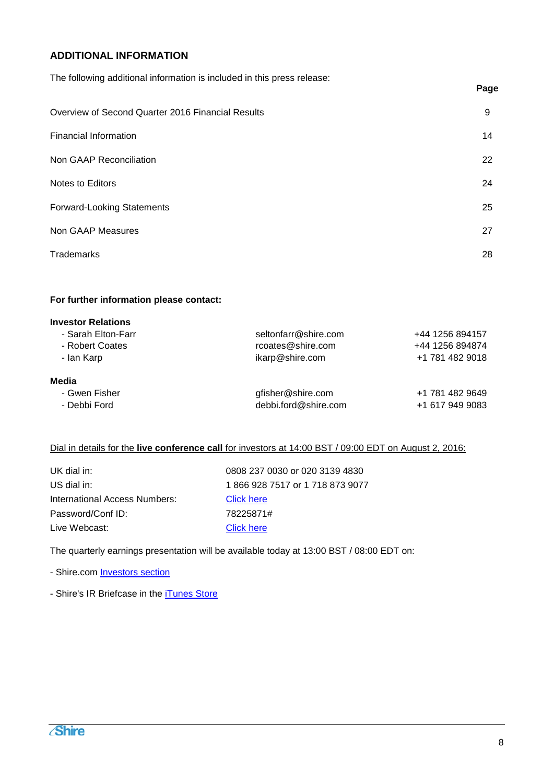# **ADDITIONAL INFORMATION**

| The following additional information is included in this press release: |      |
|-------------------------------------------------------------------------|------|
|                                                                         | Page |
| Overview of Second Quarter 2016 Financial Results                       | 9    |
| Financial Information                                                   | 14   |
| Non GAAP Reconciliation                                                 | 22   |

| Notes to Editors                  | 24 |
|-----------------------------------|----|
| <b>Forward-Looking Statements</b> | 25 |
| Non GAAP Measures                 | 27 |
| Trademarks                        | 28 |

#### **For further information please contact:**

# **Investor Relations**

| - Sarah Elton-Farr | seltonfarr@shire.com | +44 1256 894157 |
|--------------------|----------------------|-----------------|
| - Robert Coates    | rcoates@shire.com    | +44 1256 894874 |
| - Ian Karp         | ikarp@shire.com      | +1 781 482 9018 |
| Media              |                      |                 |
| - Gwen Fisher      | gfisher@shire.com    | +1 781 482 9649 |
| - Debbi Ford       | debbi.ford@shire.com | +1 617 949 9083 |

#### Dial in details for the **live conference call** for investors at 14:00 BST / 09:00 EDT on August 2, 2016:

| UK dial in:                   | 0808 237 0030 or 020 3139 4830  |
|-------------------------------|---------------------------------|
| US dial in:                   | 1866 928 7517 or 1 718 873 9077 |
| International Access Numbers: | <b>Click here</b>               |
| Password/Conf ID:             | 78225871#                       |
| Live Webcast:                 | <b>Click here</b>               |

The quarterly earnings presentation will be available today at 13:00 BST / 08:00 EDT on:

- Shire.com **Investors section** 

- Shire's IR Briefcase in the *iTunes Store*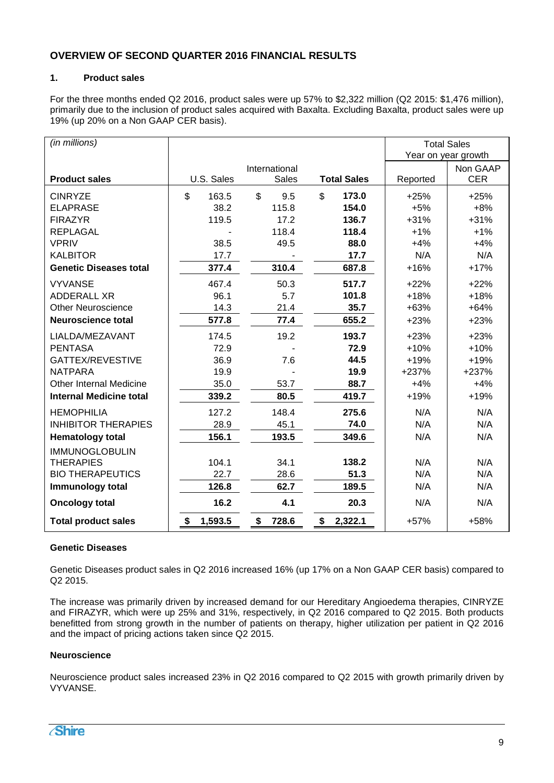# **OVERVIEW OF SECOND QUARTER 2016 FINANCIAL RESULTS**

# **1. Product sales**

For the three months ended Q2 2016, product sales were up 57% to \$2,322 million (Q2 2015: \$1,476 million), primarily due to the inclusion of product sales acquired with Baxalta. Excluding Baxalta, product sales were up 19% (up 20% on a Non GAAP CER basis).

| (in millions)                  |               |               |       |          |                    |          | <b>Total Sales</b><br>Year on year growth |
|--------------------------------|---------------|---------------|-------|----------|--------------------|----------|-------------------------------------------|
|                                |               | International |       | Non GAAP |                    |          |                                           |
| <b>Product sales</b>           | U.S. Sales    |               | Sales |          | <b>Total Sales</b> | Reported | <b>CER</b>                                |
| <b>CINRYZE</b>                 | \$<br>163.5   | \$            | 9.5   | \$       | 173.0              | $+25%$   | $+25%$                                    |
| <b>ELAPRASE</b>                | 38.2          |               | 115.8 |          | 154.0              | $+5%$    | $+8%$                                     |
| <b>FIRAZYR</b>                 | 119.5         |               | 17.2  |          | 136.7              | $+31%$   | $+31%$                                    |
| <b>REPLAGAL</b>                |               |               | 118.4 |          | 118.4              | $+1%$    | $+1%$                                     |
| <b>VPRIV</b>                   | 38.5          |               | 49.5  |          | 88.0               | $+4%$    | $+4%$                                     |
| <b>KALBITOR</b>                | 17.7          |               |       |          | 17.7               | N/A      | N/A                                       |
| <b>Genetic Diseases total</b>  | 377.4         |               | 310.4 |          | 687.8              | $+16%$   | $+17%$                                    |
| <b>VYVANSE</b>                 | 467.4         |               | 50.3  |          | 517.7              | $+22%$   | $+22%$                                    |
| <b>ADDERALL XR</b>             | 96.1          |               | 5.7   |          | 101.8              | $+18%$   | $+18%$                                    |
| <b>Other Neuroscience</b>      | 14.3          |               | 21.4  |          | 35.7               | $+63%$   | $+64%$                                    |
| <b>Neuroscience total</b>      | 577.8         |               | 77.4  |          | 655.2              | $+23%$   | $+23%$                                    |
| LIALDA/MEZAVANT                | 174.5         |               | 19.2  |          | 193.7              | $+23%$   | $+23%$                                    |
| <b>PENTASA</b>                 | 72.9          |               |       |          | 72.9               | $+10%$   | $+10%$                                    |
| GATTEX/REVESTIVE               | 36.9          |               | 7.6   |          | 44.5               | $+19%$   | $+19%$                                    |
| <b>NATPARA</b>                 | 19.9          |               |       |          | 19.9               | +237%    | +237%                                     |
| <b>Other Internal Medicine</b> | 35.0          |               | 53.7  |          | 88.7               | $+4%$    | $+4%$                                     |
| <b>Internal Medicine total</b> | 339.2         |               | 80.5  |          | 419.7              | $+19%$   | $+19%$                                    |
| <b>HEMOPHILIA</b>              | 127.2         |               | 148.4 |          | 275.6              | N/A      | N/A                                       |
| <b>INHIBITOR THERAPIES</b>     | 28.9          |               | 45.1  |          | 74.0               | N/A      | N/A                                       |
| <b>Hematology total</b>        | 156.1         |               | 193.5 |          | 349.6              | N/A      | N/A                                       |
| <b>IMMUNOGLOBULIN</b>          |               |               |       |          |                    |          |                                           |
| <b>THERAPIES</b>               | 104.1         |               | 34.1  |          | 138.2              | N/A      | N/A                                       |
| <b>BIO THERAPEUTICS</b>        | 22.7          |               | 28.6  |          | 51.3               | N/A      | N/A                                       |
| Immunology total               | 126.8         |               | 62.7  |          | 189.5              | N/A      | N/A                                       |
| <b>Oncology total</b>          | 16.2          |               | 4.1   |          | 20.3               | N/A      | N/A                                       |
| <b>Total product sales</b>     | \$<br>1,593.5 | \$            | 728.6 | \$       | 2,322.1            | $+57%$   | +58%                                      |

# **Genetic Diseases**

Genetic Diseases product sales in Q2 2016 increased 16% (up 17% on a Non GAAP CER basis) compared to Q2 2015.

The increase was primarily driven by increased demand for our Hereditary Angioedema therapies, CINRYZE and FIRAZYR, which were up 25% and 31%, respectively, in Q2 2016 compared to Q2 2015. Both products benefitted from strong growth in the number of patients on therapy, higher utilization per patient in Q2 2016 and the impact of pricing actions taken since Q2 2015.

#### **Neuroscience**

Neuroscience product sales increased 23% in Q2 2016 compared to Q2 2015 with growth primarily driven by VYVANSE.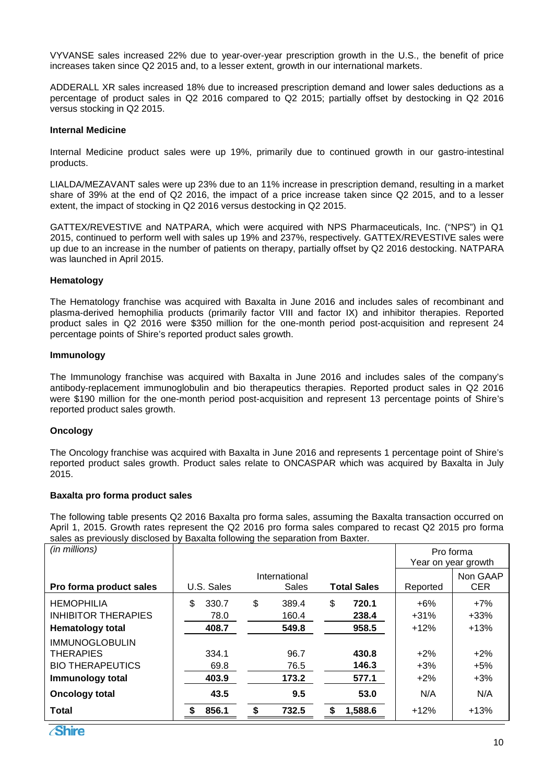VYVANSE sales increased 22% due to year-over-year prescription growth in the U.S., the benefit of price increases taken since Q2 2015 and, to a lesser extent, growth in our international markets.

ADDERALL XR sales increased 18% due to increased prescription demand and lower sales deductions as a percentage of product sales in Q2 2016 compared to Q2 2015; partially offset by destocking in Q2 2016 versus stocking in Q2 2015.

#### **Internal Medicine**

Internal Medicine product sales were up 19%, primarily due to continued growth in our gastro-intestinal products.

LIALDA/MEZAVANT sales were up 23% due to an 11% increase in prescription demand, resulting in a market share of 39% at the end of Q2 2016, the impact of a price increase taken since Q2 2015, and to a lesser extent, the impact of stocking in Q2 2016 versus destocking in Q2 2015.

GATTEX/REVESTIVE and NATPARA, which were acquired with NPS Pharmaceuticals, Inc. ("NPS") in Q1 2015, continued to perform well with sales up 19% and 237%, respectively. GATTEX/REVESTIVE sales were up due to an increase in the number of patients on therapy, partially offset by Q2 2016 destocking. NATPARA was launched in April 2015.

#### **Hematology**

The Hematology franchise was acquired with Baxalta in June 2016 and includes sales of recombinant and plasma-derived hemophilia products (primarily factor VIII and factor IX) and inhibitor therapies. Reported product sales in Q2 2016 were \$350 million for the one-month period post-acquisition and represent 24 percentage points of Shire's reported product sales growth.

#### **Immunology**

The Immunology franchise was acquired with Baxalta in June 2016 and includes sales of the company's antibody-replacement immunoglobulin and bio therapeutics therapies. Reported product sales in Q2 2016 were \$190 million for the one-month period post-acquisition and represent 13 percentage points of Shire's reported product sales growth.

#### **Oncology**

The Oncology franchise was acquired with Baxalta in June 2016 and represents 1 percentage point of Shire's reported product sales growth. Product sales relate to ONCASPAR which was acquired by Baxalta in July 2015.

#### **Baxalta pro forma product sales**

The following table presents Q2 2016 Baxalta pro forma sales, assuming the Baxalta transaction occurred on April 1, 2015. Growth rates represent the Q2 2016 pro forma sales compared to recast Q2 2015 pro forma sales as previously disclosed by Baxalta following the separation from Baxter.

| (in millions)              |             |               |    |                    |          | Pro forma<br>Year on year growth |
|----------------------------|-------------|---------------|----|--------------------|----------|----------------------------------|
|                            |             | International |    |                    |          | Non GAAP                         |
| Pro forma product sales    | U.S. Sales  | Sales         |    | <b>Total Sales</b> | Reported | <b>CER</b>                       |
| <b>HEMOPHILIA</b>          | \$<br>330.7 | \$<br>389.4   | \$ | 720.1              | $+6%$    | $+7%$                            |
| <b>INHIBITOR THERAPIES</b> | 78.0        | 160.4         |    | 238.4              | $+31%$   | $+33%$                           |
| <b>Hematology total</b>    | 408.7       | 549.8         |    | 958.5              | $+12%$   | $+13%$                           |
| <b>IMMUNOGLOBULIN</b>      |             |               |    |                    |          |                                  |
| <b>THERAPIES</b>           | 334.1       | 96.7          |    | 430.8              | $+2\%$   | $+2\%$                           |
| <b>BIO THERAPEUTICS</b>    | 69.8        | 76.5          |    | 146.3              | $+3%$    | $+5%$                            |
| Immunology total           | 403.9       | 173.2         |    | 577.1              | $+2%$    | $+3%$                            |
| <b>Oncology total</b>      | 43.5        | 9.5           |    | 53.0               | N/A      | N/A                              |
| <b>Total</b>               | 856.1       | \$<br>732.5   | S  | 1,588.6            | $+12%$   | $+13%$                           |

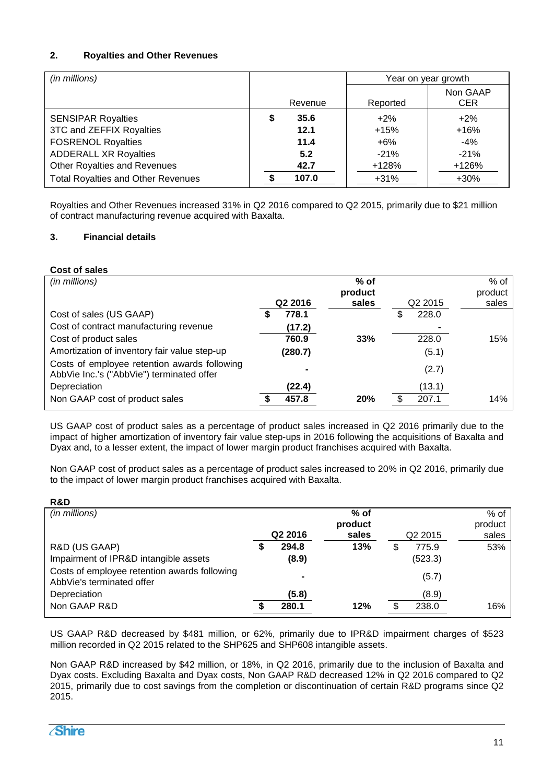# **2. Royalties and Other Revenues**

| (in millions)                             |   |         | Year on year growth |                        |  |  |  |
|-------------------------------------------|---|---------|---------------------|------------------------|--|--|--|
|                                           |   | Revenue | Reported            | Non GAAP<br><b>CER</b> |  |  |  |
| <b>SENSIPAR Royalties</b>                 | S | 35.6    | $+2%$               | $+2\%$                 |  |  |  |
| 3TC and ZEFFIX Royalties                  |   | 12.1    | $+15%$              | $+16%$                 |  |  |  |
| <b>FOSRENOL Royalties</b>                 |   | 11.4    | $+6\%$              | $-4%$                  |  |  |  |
| <b>ADDERALL XR Royalties</b>              |   | 5.2     | $-21%$              | $-21%$                 |  |  |  |
| Other Royalties and Revenues              |   | 42.7    | +128%               | +126%                  |  |  |  |
| <b>Total Royalties and Other Revenues</b> |   | 107.0   | $+31%$              | $+30%$                 |  |  |  |

Royalties and Other Revenues increased 31% in Q2 2016 compared to Q2 2015, primarily due to \$21 million of contract manufacturing revenue acquired with Baxalta.

#### **3. Financial details**

| Cost of sales                                                                             |         |         |    |                     |         |
|-------------------------------------------------------------------------------------------|---------|---------|----|---------------------|---------|
| (in millions)                                                                             |         | $%$ of  |    |                     | % of    |
|                                                                                           |         | product |    |                     | product |
|                                                                                           | Q2 2016 | sales   |    | Q <sub>2</sub> 2015 | sales   |
| Cost of sales (US GAAP)                                                                   | 778.1   |         | ה. | 228.0               |         |
| Cost of contract manufacturing revenue                                                    | (17.2)  |         |    |                     |         |
| Cost of product sales                                                                     | 760.9   | 33%     |    | 228.0               | 15%     |
| Amortization of inventory fair value step-up                                              | (280.7) |         |    | (5.1)               |         |
| Costs of employee retention awards following<br>AbbVie Inc.'s ("AbbVie") terminated offer |         |         |    | (2.7)               |         |
| Depreciation                                                                              | (22.4)  |         |    | (13.1)              |         |
| Non GAAP cost of product sales                                                            | 457.8   | 20%     |    | 207.1               | 14%     |

US GAAP cost of product sales as a percentage of product sales increased in Q2 2016 primarily due to the impact of higher amortization of inventory fair value step-ups in 2016 following the acquisitions of Baxalta and Dyax and, to a lesser extent, the impact of lower margin product franchises acquired with Baxalta.

Non GAAP cost of product sales as a percentage of product sales increased to 20% in Q2 2016, primarily due to the impact of lower margin product franchises acquired with Baxalta.

|       | % of    |    |         | % of                |
|-------|---------|----|---------|---------------------|
|       | product |    |         | product             |
|       | sales   |    |         | sales               |
| 294.8 | 13%     | S  | 775.9   | 53%                 |
| (8.9) |         |    | (523.3) |                     |
| -     |         |    | (5.7)   |                     |
| (5.8) |         |    | (8.9)   |                     |
| 280.1 | 12%     | S. | 238.0   | 16%                 |
|       | Q2 2016 |    |         | Q <sub>2</sub> 2015 |

US GAAP R&D decreased by \$481 million, or 62%, primarily due to IPR&D impairment charges of \$523 million recorded in Q2 2015 related to the SHP625 and SHP608 intangible assets.

Non GAAP R&D increased by \$42 million, or 18%, in Q2 2016, primarily due to the inclusion of Baxalta and Dyax costs. Excluding Baxalta and Dyax costs, Non GAAP R&D decreased 12% in Q2 2016 compared to Q2 2015, primarily due to cost savings from the completion or discontinuation of certain R&D programs since Q2 2015.

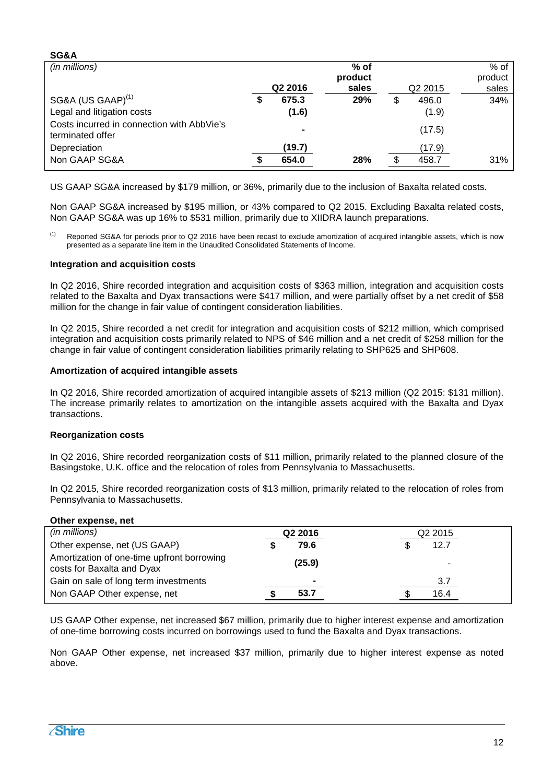| SG&A                                                           |             |         |    |                     |         |
|----------------------------------------------------------------|-------------|---------|----|---------------------|---------|
| (in millions)                                                  |             | % of    |    |                     | % of    |
|                                                                |             | product |    |                     | product |
|                                                                | Q2 2016     | sales   |    | Q <sub>2</sub> 2015 | sales   |
| SG&A (US GAAP) <sup>(1)</sup>                                  | \$<br>675.3 | 29%     | \$ | 496.0               | 34%     |
| Legal and litigation costs                                     | (1.6)       |         |    | (1.9)               |         |
| Costs incurred in connection with AbbVie's<br>terminated offer | -           |         |    | (17.5)              |         |
| Depreciation                                                   | (19.7)      |         |    | (17.9)              |         |
| Non GAAP SG&A                                                  | 654.0       | 28%     | S  | 458.7               | 31%     |
|                                                                |             |         |    |                     |         |

US GAAP SG&A increased by \$179 million, or 36%, primarily due to the inclusion of Baxalta related costs.

Non GAAP SG&A increased by \$195 million, or 43% compared to Q2 2015. Excluding Baxalta related costs, Non GAAP SG&A was up 16% to \$531 million, primarily due to XIIDRA launch preparations.

Reported SG&A for periods prior to Q2 2016 have been recast to exclude amortization of acquired intangible assets, which is now presented as a separate line item in the Unaudited Consolidated Statements of Income.

#### **Integration and acquisition costs**

In Q2 2016, Shire recorded integration and acquisition costs of \$363 million, integration and acquisition costs related to the Baxalta and Dyax transactions were \$417 million, and were partially offset by a net credit of \$58 million for the change in fair value of contingent consideration liabilities.

In Q2 2015, Shire recorded a net credit for integration and acquisition costs of \$212 million, which comprised integration and acquisition costs primarily related to NPS of \$46 million and a net credit of \$258 million for the change in fair value of contingent consideration liabilities primarily relating to SHP625 and SHP608.

#### **Amortization of acquired intangible assets**

In Q2 2016, Shire recorded amortization of acquired intangible assets of \$213 million (Q2 2015: \$131 million). The increase primarily relates to amortization on the intangible assets acquired with the Baxalta and Dyax transactions.

#### **Reorganization costs**

**Other expense, net**

In Q2 2016, Shire recorded reorganization costs of \$11 million, primarily related to the planned closure of the Basingstoke, U.K. office and the relocation of roles from Pennsylvania to Massachusetts.

In Q2 2015, Shire recorded reorganization costs of \$13 million, primarily related to the relocation of roles from Pennsylvania to Massachusetts.

| <b>OUTEL EXPENSE, HEL</b>                                                |                |                     |  |
|--------------------------------------------------------------------------|----------------|---------------------|--|
| (in millions)                                                            | Q2 2016        | Q <sub>2</sub> 2015 |  |
| Other expense, net (US GAAP)                                             | 79.6           | 12.7                |  |
| Amortization of one-time upfront borrowing<br>costs for Baxalta and Dyax | (25.9)         | ۰                   |  |
| Gain on sale of long term investments                                    | $\blacksquare$ | 3.7                 |  |
| Non GAAP Other expense, net                                              | 53.7           | 16.4                |  |

US GAAP Other expense, net increased \$67 million, primarily due to higher interest expense and amortization of one-time borrowing costs incurred on borrowings used to fund the Baxalta and Dyax transactions.

Non GAAP Other expense, net increased \$37 million, primarily due to higher interest expense as noted above.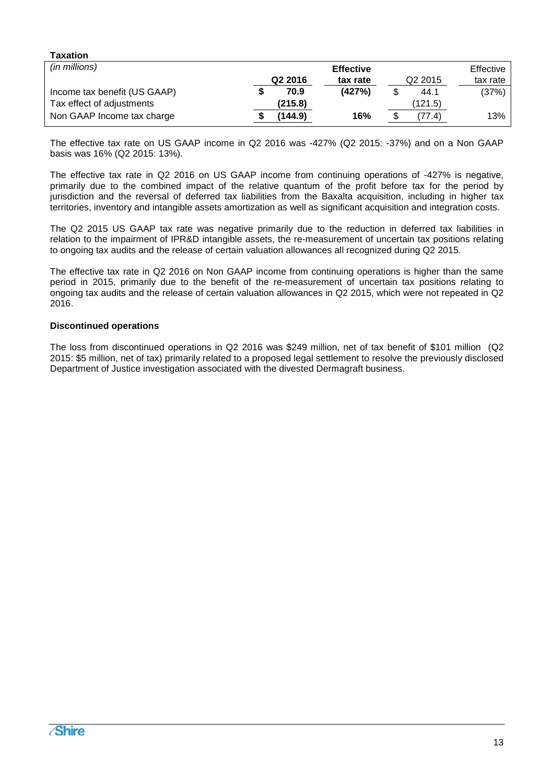| Taxation                     |                     |                  |                     |                  |
|------------------------------|---------------------|------------------|---------------------|------------------|
| (in millions)                |                     | <b>Effective</b> |                     | <b>Effective</b> |
|                              | Q <sub>2</sub> 2016 | tax rate         | Q <sub>2</sub> 2015 | tax rate         |
| Income tax benefit (US GAAP) | 70.9                | (427%)           | \$<br>44.1          | (37%)            |
| Tax effect of adjustments    | (215.8)             |                  | (121.5)             |                  |
| Non GAAP Income tax charge   | (144.9)             | 16%              | \$<br>(77.4         | 13%              |

The effective tax rate on US GAAP income in Q2 2016 was -427% (Q2 2015: -37%) and on a Non GAAP basis was 16% (Q2 2015: 13%).

The effective tax rate in Q2 2016 on US GAAP income from continuing operations of -427% is negative, primarily due to the combined impact of the relative quantum of the profit before tax for the period by jurisdiction and the reversal of deferred tax liabilities from the Baxalta acquisition, including in higher tax territories, inventory and intangible assets amortization as well as significant acquisition and integration costs.

The Q2 2015 US GAAP tax rate was negative primarily due to the reduction in deferred tax liabilities in relation to the impairment of IPR&D intangible assets, the re-measurement of uncertain tax positions relating to ongoing tax audits and the release of certain valuation allowances all recognized during Q2 2015.

The effective tax rate in Q2 2016 on Non GAAP income from continuing operations is higher than the same period in 2015, primarily due to the benefit of the re-measurement of uncertain tax positions relating to ongoing tax audits and the release of certain valuation allowances in Q2 2015, which were not repeated in Q2 2016.

#### **Discontinued operations**

The loss from discontinued operations in Q2 2016 was \$249 million, net of tax benefit of \$101 million (Q2 2015: \$5 million, net of tax) primarily related to a proposed legal settlement to resolve the previously disclosed Department of Justice investigation associated with the divested Dermagraft business.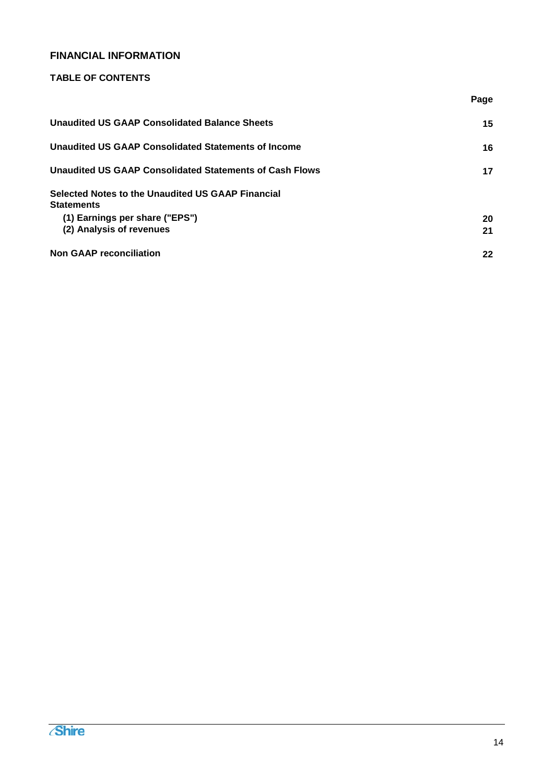# **FINANCIAL INFORMATION**

# **TABLE OF CONTENTS**

|                                                                        | Page |
|------------------------------------------------------------------------|------|
| Unaudited US GAAP Consolidated Balance Sheets                          | 15   |
| Unaudited US GAAP Consolidated Statements of Income                    | 16   |
| Unaudited US GAAP Consolidated Statements of Cash Flows                | 17   |
| Selected Notes to the Unaudited US GAAP Financial<br><b>Statements</b> |      |
| (1) Earnings per share ("EPS")                                         | 20   |
| (2) Analysis of revenues                                               | 21   |
| <b>Non GAAP reconciliation</b>                                         | 22   |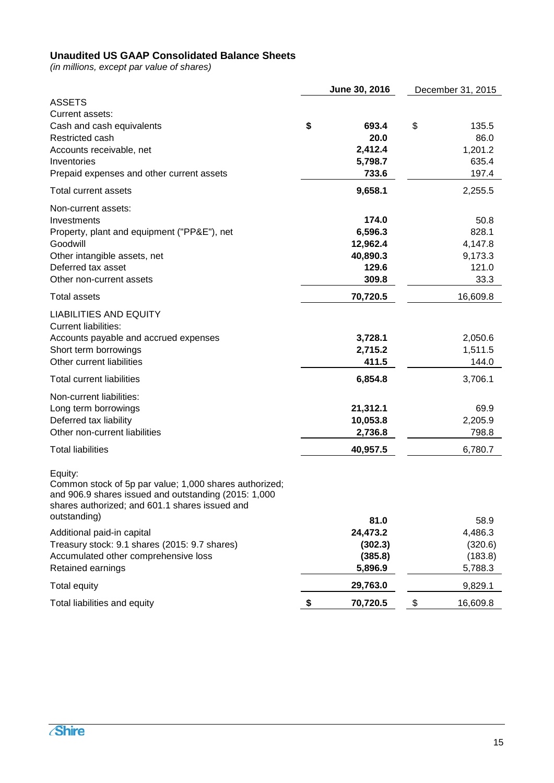# **Unaudited US GAAP Consolidated Balance Sheets**

*(in millions, except par value of shares)* 

|                                                                                                                                                                                             | June 30, 2016  | December 31, 2015 |
|---------------------------------------------------------------------------------------------------------------------------------------------------------------------------------------------|----------------|-------------------|
| <b>ASSETS</b>                                                                                                                                                                               |                |                   |
| Current assets:                                                                                                                                                                             |                |                   |
| Cash and cash equivalents                                                                                                                                                                   | \$<br>693.4    | \$<br>135.5       |
| Restricted cash                                                                                                                                                                             | 20.0           | 86.0              |
| Accounts receivable, net                                                                                                                                                                    | 2,412.4        | 1,201.2           |
| Inventories                                                                                                                                                                                 | 5,798.7        | 635.4             |
| Prepaid expenses and other current assets                                                                                                                                                   | 733.6          | 197.4             |
| <b>Total current assets</b>                                                                                                                                                                 | 9,658.1        | 2,255.5           |
| Non-current assets:                                                                                                                                                                         |                |                   |
| Investments                                                                                                                                                                                 | 174.0          | 50.8              |
| Property, plant and equipment ("PP&E"), net                                                                                                                                                 | 6,596.3        | 828.1             |
| Goodwill                                                                                                                                                                                    | 12,962.4       | 4,147.8           |
| Other intangible assets, net                                                                                                                                                                | 40,890.3       | 9,173.3           |
| Deferred tax asset                                                                                                                                                                          | 129.6          | 121.0             |
| Other non-current assets                                                                                                                                                                    | 309.8          | 33.3              |
| <b>Total assets</b>                                                                                                                                                                         | 70,720.5       | 16,609.8          |
| <b>LIABILITIES AND EQUITY</b>                                                                                                                                                               |                |                   |
| <b>Current liabilities:</b>                                                                                                                                                                 |                |                   |
| Accounts payable and accrued expenses                                                                                                                                                       | 3,728.1        | 2,050.6           |
| Short term borrowings                                                                                                                                                                       | 2,715.2        | 1,511.5           |
| Other current liabilities                                                                                                                                                                   | 411.5          | 144.0             |
| <b>Total current liabilities</b>                                                                                                                                                            | 6,854.8        | 3,706.1           |
| Non-current liabilities:                                                                                                                                                                    |                |                   |
| Long term borrowings                                                                                                                                                                        | 21,312.1       | 69.9              |
| Deferred tax liability                                                                                                                                                                      | 10,053.8       | 2,205.9           |
| Other non-current liabilities                                                                                                                                                               | 2,736.8        | 798.8             |
| <b>Total liabilities</b>                                                                                                                                                                    | 40,957.5       | 6,780.7           |
| Equity:<br>Common stock of 5p par value; 1,000 shares authorized;<br>and 906.9 shares issued and outstanding (2015: 1,000<br>shares authorized; and 601.1 shares issued and<br>outstanding) |                |                   |
|                                                                                                                                                                                             | 81.0           | 58.9              |
| Additional paid-in capital                                                                                                                                                                  | 24,473.2       | 4,486.3           |
| Treasury stock: 9.1 shares (2015: 9.7 shares)                                                                                                                                               | (302.3)        | (320.6)           |
| Accumulated other comprehensive loss                                                                                                                                                        | (385.8)        | (183.8)           |
| Retained earnings                                                                                                                                                                           | 5,896.9        | 5,788.3           |
| <b>Total equity</b>                                                                                                                                                                         | 29,763.0       | 9,829.1           |
| Total liabilities and equity                                                                                                                                                                | \$<br>70,720.5 | \$<br>16,609.8    |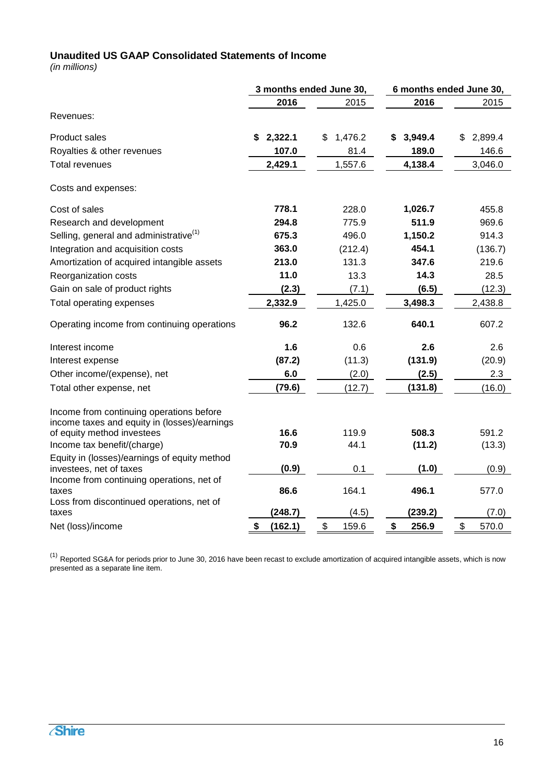# **Unaudited US GAAP Consolidated Statements of Income**

*(in millions)*

|                                                                                                 | 3 months ended June 30, |               | 6 months ended June 30, |               |
|-------------------------------------------------------------------------------------------------|-------------------------|---------------|-------------------------|---------------|
|                                                                                                 | 2016                    | 2015          | 2016                    | 2015          |
| Revenues:                                                                                       |                         |               |                         |               |
| <b>Product sales</b>                                                                            | 2,322.1<br>\$           | \$<br>1,476.2 | 3,949.4<br>\$           | \$<br>2,899.4 |
| Royalties & other revenues                                                                      | 107.0                   | 81.4          | 189.0                   | 146.6         |
| <b>Total revenues</b>                                                                           | 2,429.1                 | 1,557.6       | 4,138.4                 | 3,046.0       |
| Costs and expenses:                                                                             |                         |               |                         |               |
| Cost of sales                                                                                   | 778.1                   | 228.0         | 1,026.7                 | 455.8         |
| Research and development                                                                        | 294.8                   | 775.9         | 511.9                   | 969.6         |
| Selling, general and administrative <sup>(1)</sup>                                              | 675.3                   | 496.0         | 1,150.2                 | 914.3         |
| Integration and acquisition costs                                                               | 363.0                   | (212.4)       | 454.1                   | (136.7)       |
| Amortization of acquired intangible assets                                                      | 213.0                   | 131.3         | 347.6                   | 219.6         |
| Reorganization costs                                                                            | 11.0                    | 13.3          | 14.3                    | 28.5          |
| Gain on sale of product rights                                                                  | (2.3)                   | (7.1)         | (6.5)                   | (12.3)        |
| Total operating expenses                                                                        | 2,332.9                 | 1,425.0       | 3,498.3                 | 2,438.8       |
| Operating income from continuing operations                                                     | 96.2                    | 132.6         | 640.1                   | 607.2         |
| Interest income                                                                                 | 1.6                     | 0.6           | 2.6                     | 2.6           |
| Interest expense                                                                                | (87.2)                  | (11.3)        | (131.9)                 | (20.9)        |
| Other income/(expense), net                                                                     | 6.0                     | (2.0)         | (2.5)                   | 2.3           |
| Total other expense, net                                                                        | (79.6)                  | (12.7)        | (131.8)                 | (16.0)        |
| Income from continuing operations before<br>income taxes and equity in (losses)/earnings        |                         |               |                         |               |
| of equity method investees                                                                      | 16.6                    | 119.9         | 508.3                   | 591.2         |
| Income tax benefit/(charge)                                                                     | 70.9                    | 44.1          | (11.2)                  | (13.3)        |
| Equity in (losses)/earnings of equity method<br>investees, net of taxes                         | (0.9)                   | 0.1           | (1.0)                   | (0.9)         |
| Income from continuing operations, net of<br>taxes<br>Loss from discontinued operations, net of | 86.6                    | 164.1         | 496.1                   | 577.0         |
| taxes                                                                                           | (248.7)                 | (4.5)         | (239.2)                 | (7.0)         |
| Net (loss)/income                                                                               | \$<br>(162.1)           | \$<br>159.6   | \$<br>256.9             | \$<br>570.0   |

 $<sup>(1)</sup>$  Reported SG&A for periods prior to June 30, 2016 have been recast to exclude amortization of acquired intangible assets, which is now</sup> presented as a separate line item.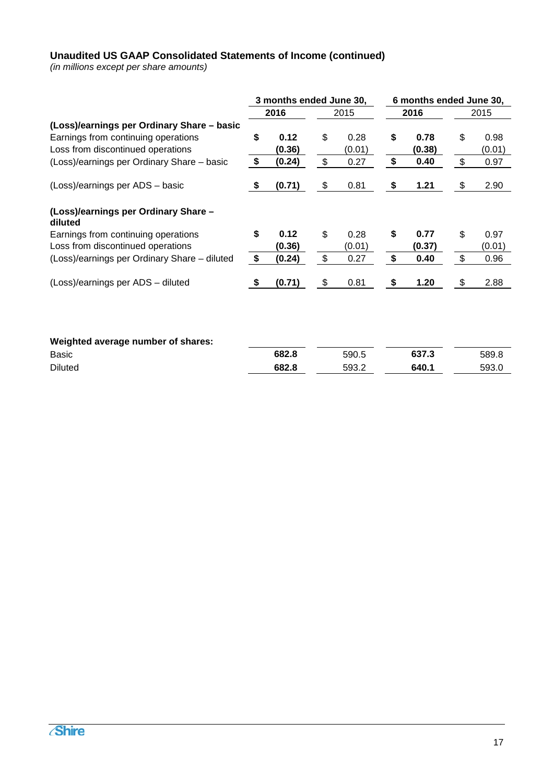# **Unaudited US GAAP Consolidated Statements of Income (continued)**

*(in millions except per share amounts)*

|                                                 | 3 months ended June 30, |        |      | 6 months ended June 30, |      |        |    |        |
|-------------------------------------------------|-------------------------|--------|------|-------------------------|------|--------|----|--------|
|                                                 | 2016                    |        | 2015 |                         | 2016 |        |    | 2015   |
| (Loss)/earnings per Ordinary Share - basic      |                         |        |      |                         |      |        |    |        |
| Earnings from continuing operations             | \$                      | 0.12   | \$   | 0.28                    | \$   | 0.78   | \$ | 0.98   |
| Loss from discontinued operations               |                         | (0.36) |      | (0.01)                  |      | (0.38) |    | (0.01) |
| (Loss)/earnings per Ordinary Share - basic      | \$                      | (0.24) | \$   | 0.27                    | \$   | 0.40   | \$ | 0.97   |
| (Loss)/earnings per ADS - basic                 | \$                      | (0.71) | \$   | 0.81                    | \$   | 1.21   | \$ | 2.90   |
| (Loss)/earnings per Ordinary Share -<br>diluted |                         |        |      |                         |      |        |    |        |
| Earnings from continuing operations             | \$                      | 0.12   | \$   | 0.28                    | \$   | 0.77   | \$ | 0.97   |
| Loss from discontinued operations               |                         | (0.36) |      | (0.01)                  |      | (0.37) |    | (0.01) |
| (Loss)/earnings per Ordinary Share - diluted    | \$                      | (0.24) | \$   | 0.27                    | \$   | 0.40   | \$ | 0.96   |
| (Loss)/earnings per ADS - diluted               | S.                      | (0.71) | \$   | 0.81                    | \$   | 1.20   | \$ | 2.88   |
|                                                 |                         |        |      |                         |      |        |    |        |
| Weighted average number of shares:              |                         | 682.8  |      |                         |      |        |    |        |
| <b>Basic</b>                                    |                         |        |      | 590.5                   |      | 637.3  |    | 589.8  |
| <b>Diluted</b>                                  |                         | 682.8  |      | 593.2                   |      | 640.1  |    | 593.0  |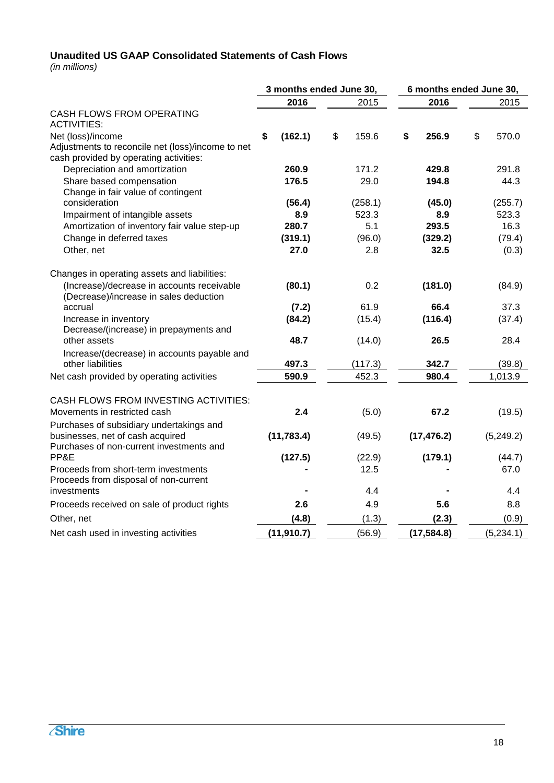# **Unaudited US GAAP Consolidated Statements of Cash Flows**

*(in millions)*

|                                                                                             | 3 months ended June 30, |             |             | 6 months ended June 30, |             |
|---------------------------------------------------------------------------------------------|-------------------------|-------------|-------------|-------------------------|-------------|
|                                                                                             |                         | 2016        | 2015        | 2016                    | 2015        |
| <b>CASH FLOWS FROM OPERATING</b>                                                            |                         |             |             |                         |             |
| <b>ACTIVITIES:</b>                                                                          |                         |             |             |                         |             |
| Net (loss)/income                                                                           | \$                      | (162.1)     | \$<br>159.6 | \$<br>256.9             | \$<br>570.0 |
| Adjustments to reconcile net (loss)/income to net<br>cash provided by operating activities: |                         |             |             |                         |             |
| Depreciation and amortization                                                               |                         | 260.9       | 171.2       | 429.8                   | 291.8       |
| Share based compensation                                                                    |                         | 176.5       | 29.0        | 194.8                   | 44.3        |
| Change in fair value of contingent                                                          |                         |             |             |                         |             |
| consideration                                                                               |                         | (56.4)      | (258.1)     | (45.0)                  | (255.7)     |
| Impairment of intangible assets                                                             |                         | 8.9         | 523.3       | 8.9                     | 523.3       |
| Amortization of inventory fair value step-up                                                |                         | 280.7       | 5.1         | 293.5                   | 16.3        |
| Change in deferred taxes                                                                    |                         | (319.1)     | (96.0)      | (329.2)                 | (79.4)      |
| Other, net                                                                                  |                         | 27.0        | 2.8         | 32.5                    | (0.3)       |
| Changes in operating assets and liabilities:                                                |                         |             |             |                         |             |
| (Increase)/decrease in accounts receivable<br>(Decrease)/increase in sales deduction        |                         | (80.1)      | 0.2         | (181.0)                 | (84.9)      |
| accrual                                                                                     |                         | (7.2)       | 61.9        | 66.4                    | 37.3        |
| Increase in inventory                                                                       |                         | (84.2)      | (15.4)      | (116.4)                 | (37.4)      |
| Decrease/(increase) in prepayments and                                                      |                         |             |             |                         |             |
| other assets                                                                                |                         | 48.7        | (14.0)      | 26.5                    | 28.4        |
| Increase/(decrease) in accounts payable and                                                 |                         |             |             |                         |             |
| other liabilities                                                                           |                         | 497.3       | (117.3)     | 342.7                   | (39.8)      |
| Net cash provided by operating activities                                                   |                         | 590.9       | 452.3       | 980.4                   | 1,013.9     |
| CASH FLOWS FROM INVESTING ACTIVITIES:                                                       |                         |             |             |                         |             |
| Movements in restricted cash                                                                |                         | 2.4         | (5.0)       | 67.2                    | (19.5)      |
| Purchases of subsidiary undertakings and                                                    |                         |             |             |                         |             |
| businesses, net of cash acquired                                                            |                         | (11, 783.4) | (49.5)      | (17, 476.2)             | (5,249.2)   |
| Purchases of non-current investments and                                                    |                         |             |             |                         |             |
| PP&E                                                                                        |                         | (127.5)     | (22.9)      | (179.1)                 | (44.7)      |
| Proceeds from short-term investments                                                        |                         |             | 12.5        |                         | 67.0        |
| Proceeds from disposal of non-current<br>investments                                        |                         |             | 4.4         |                         | 4.4         |
| Proceeds received on sale of product rights                                                 |                         | 2.6         | 4.9         | 5.6                     | 8.8         |
| Other, net                                                                                  |                         | (4.8)       | (1.3)       | (2.3)                   | (0.9)       |
| Net cash used in investing activities                                                       |                         | (11, 910.7) | (56.9)      | (17, 584.8)             | (5, 234.1)  |
|                                                                                             |                         |             |             |                         |             |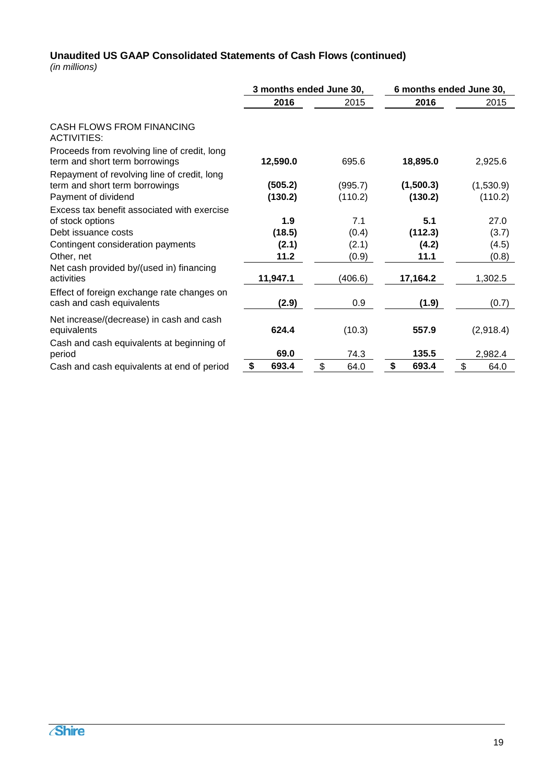# **Unaudited US GAAP Consolidated Statements of Cash Flows (continued)**

*(in millions)*

|                                                                                                      |                    | 3 months ended June 30, | 6 months ended June 30, |                      |  |  |
|------------------------------------------------------------------------------------------------------|--------------------|-------------------------|-------------------------|----------------------|--|--|
|                                                                                                      | 2016               | 2015                    | 2016                    | 2015                 |  |  |
| <b>CASH FLOWS FROM FINANCING</b><br><b>ACTIVITIES:</b>                                               |                    |                         |                         |                      |  |  |
| Proceeds from revolving line of credit, long<br>term and short term borrowings                       | 12,590.0           | 695.6                   | 18,895.0                | 2,925.6              |  |  |
| Repayment of revolving line of credit, long<br>term and short term borrowings<br>Payment of dividend | (505.2)<br>(130.2) | (995.7)<br>(110.2)      | (1,500.3)<br>(130.2)    | (1,530.9)<br>(110.2) |  |  |
| Excess tax benefit associated with exercise<br>of stock options                                      | 1.9                | 7.1                     | 5.1                     | 27.0                 |  |  |
| Debt issuance costs                                                                                  | (18.5)             | (0.4)                   | (112.3)                 | (3.7)                |  |  |
| Contingent consideration payments                                                                    | (2.1)              | (2.1)                   | (4.2)                   | (4.5)                |  |  |
| Other, net                                                                                           | 11.2               | (0.9)                   | 11.1                    | (0.8)                |  |  |
| Net cash provided by/(used in) financing<br>activities                                               | 11,947.1           | (406.6)                 | 17,164.2                | 1,302.5              |  |  |
| Effect of foreign exchange rate changes on<br>cash and cash equivalents                              | (2.9)              | 0.9                     | (1.9)                   | (0.7)                |  |  |
| Net increase/(decrease) in cash and cash<br>equivalents                                              | 624.4              | (10.3)                  | 557.9                   | (2,918.4)            |  |  |
| Cash and cash equivalents at beginning of<br>period                                                  | 69.0               | 74.3                    | 135.5                   | 2,982.4              |  |  |
| Cash and cash equivalents at end of period                                                           | \$<br>693.4        | \$<br>64.0              | \$<br>693.4             | \$<br>64.0           |  |  |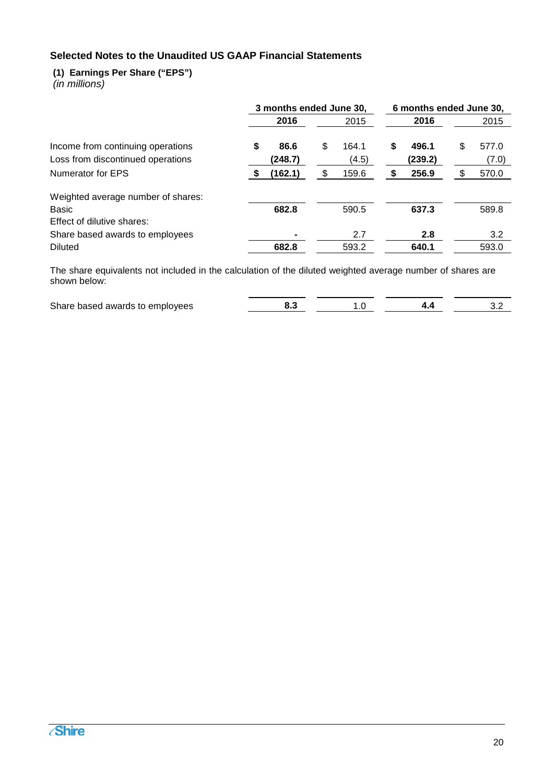# **Selected Notes to the Unaudited US GAAP Financial Statements**

# **(1) Earnings Per Share ("EPS")**

*(in millions)*

|                                                                        | 3 months ended June 30, |                 |    |                | 6 months ended June 30, |                  |    |                |
|------------------------------------------------------------------------|-------------------------|-----------------|----|----------------|-------------------------|------------------|----|----------------|
|                                                                        |                         | 2016            |    | 2015           |                         | 2016             |    | 2015           |
| Income from continuing operations<br>Loss from discontinued operations | S                       | 86.6<br>(248.7) | \$ | 164.1<br>(4.5) | S                       | 496.1<br>(239.2) | \$ | 577.0<br>(7.0) |
| Numerator for EPS                                                      |                         | (162.1)         | \$ | 159.6          |                         | 256.9            | \$ | 570.0          |
| Weighted average number of shares:                                     |                         |                 |    |                |                         |                  |    |                |
| Basic<br>Effect of dilutive shares:                                    |                         | 682.8           |    | 590.5          |                         | 637.3            |    | 589.8          |
| Share based awards to employees                                        |                         |                 |    | 2.7            |                         | 2.8              |    | 3.2            |
| <b>Diluted</b>                                                         |                         | 682.8           |    | 593.2          |                         | 640.1            |    | 593.0          |

The share equivalents not included in the calculation of the diluted weighted average number of shares are shown below:

| Share based awards to employees |  |  |
|---------------------------------|--|--|

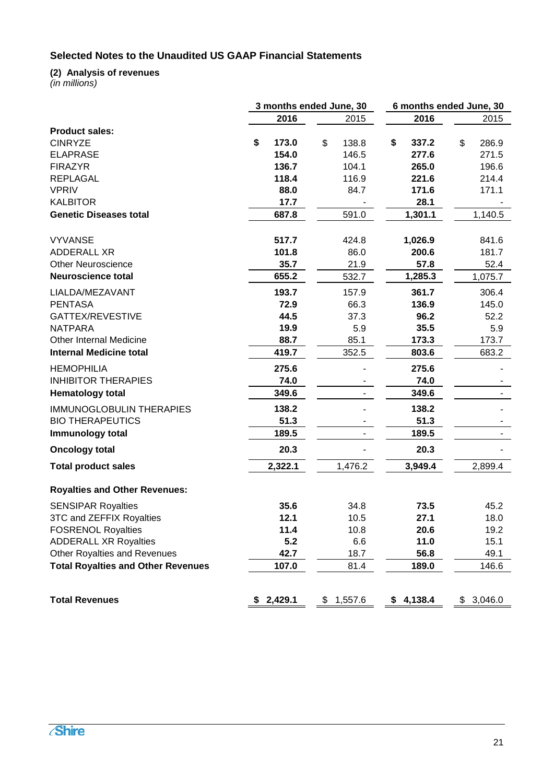# **Selected Notes to the Unaudited US GAAP Financial Statements**

#### **(2) Analysis of revenues**

*(in millions)*

|                                           |             | 3 months ended June, 30 |               | 6 months ended June, 30 |
|-------------------------------------------|-------------|-------------------------|---------------|-------------------------|
|                                           | 2016        | 2015                    | 2016          | 2015                    |
| <b>Product sales:</b>                     |             |                         |               |                         |
| <b>CINRYZE</b>                            | \$<br>173.0 | \$<br>138.8             | \$<br>337.2   | \$<br>286.9             |
| <b>ELAPRASE</b>                           | 154.0       | 146.5                   | 277.6         | 271.5                   |
| <b>FIRAZYR</b>                            | 136.7       | 104.1                   | 265.0         | 196.6                   |
| <b>REPLAGAL</b>                           | 118.4       | 116.9                   | 221.6         | 214.4                   |
| <b>VPRIV</b>                              | 88.0        | 84.7                    | 171.6         | 171.1                   |
| <b>KALBITOR</b>                           | 17.7        |                         | 28.1          |                         |
| <b>Genetic Diseases total</b>             | 687.8       | 591.0                   | 1,301.1       | 1,140.5                 |
| <b>VYVANSE</b>                            | 517.7       | 424.8                   | 1,026.9       | 841.6                   |
| <b>ADDERALL XR</b>                        | 101.8       | 86.0                    | 200.6         | 181.7                   |
| <b>Other Neuroscience</b>                 | 35.7        | 21.9                    | 57.8          | 52.4                    |
| <b>Neuroscience total</b>                 | 655.2       | 532.7                   | 1,285.3       | 1,075.7                 |
| LIALDA/MEZAVANT                           | 193.7       | 157.9                   | 361.7         | 306.4                   |
| <b>PENTASA</b>                            | 72.9        | 66.3                    | 136.9         | 145.0                   |
| <b>GATTEX/REVESTIVE</b>                   | 44.5        | 37.3                    | 96.2          | 52.2                    |
| <b>NATPARA</b>                            | 19.9        | 5.9                     | 35.5          | 5.9                     |
| <b>Other Internal Medicine</b>            | 88.7        | 85.1                    | 173.3         | 173.7                   |
| <b>Internal Medicine total</b>            | 419.7       | 352.5                   | 803.6         | 683.2                   |
| <b>HEMOPHILIA</b>                         | 275.6       |                         | 275.6         |                         |
| <b>INHIBITOR THERAPIES</b>                | 74.0        |                         | 74.0          |                         |
| <b>Hematology total</b>                   | 349.6       |                         | 349.6         |                         |
| <b>IMMUNOGLOBULIN THERAPIES</b>           | 138.2       |                         | 138.2         |                         |
| <b>BIO THERAPEUTICS</b>                   | 51.3        |                         | 51.3          |                         |
| Immunology total                          | 189.5       |                         | 189.5         |                         |
| <b>Oncology total</b>                     | 20.3        |                         | 20.3          |                         |
| <b>Total product sales</b>                | 2,322.1     | 1,476.2                 | 3,949.4       | 2,899.4                 |
| <b>Royalties and Other Revenues:</b>      |             |                         |               |                         |
| <b>SENSIPAR Royalties</b>                 | 35.6        | 34.8                    | 73.5          | 45.2                    |
| 3TC and ZEFFIX Royalties                  | 12.1        | 10.5                    | 27.1          | 18.0                    |
| <b>FOSRENOL Royalties</b>                 | 11.4        | 10.8                    | 20.6          | 19.2                    |
| <b>ADDERALL XR Royalties</b>              | 5.2         | 6.6                     | 11.0          | 15.1                    |
| Other Royalties and Revenues              | 42.7        | 18.7                    | 56.8          | 49.1                    |
| <b>Total Royalties and Other Revenues</b> | 107.0       | 81.4                    | 189.0         | 146.6                   |
|                                           |             |                         |               |                         |
| <b>Total Revenues</b>                     | \$2,429.1   | 1,557.6<br>\$           | 4,138.4<br>\$ | 3,046.0<br>\$.          |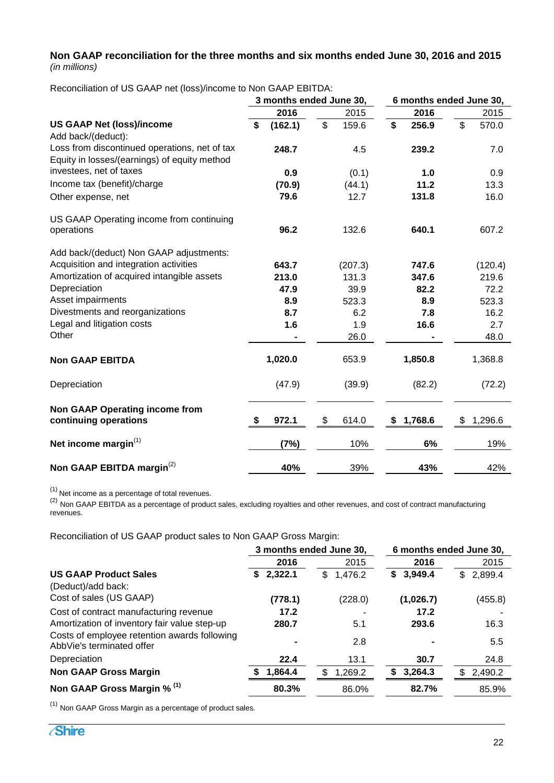# **Non GAAP reconciliation for the three months and six months ended June 30, 2016 and 2015** *(in millions)*

Reconciliation of US GAAP net (loss)/income to Non GAAP EBITDA:

|                                               | 3 months ended June 30, |         |    |         | 6 months ended June 30, |         |    |         |
|-----------------------------------------------|-------------------------|---------|----|---------|-------------------------|---------|----|---------|
|                                               |                         | 2016    |    | 2015    |                         | 2016    |    | 2015    |
| <b>US GAAP Net (loss)/income</b>              | \$                      | (162.1) | \$ | 159.6   | \$                      | 256.9   | \$ | 570.0   |
| Add back/(deduct):                            |                         |         |    |         |                         |         |    |         |
| Loss from discontinued operations, net of tax |                         | 248.7   |    | 4.5     |                         | 239.2   |    | 7.0     |
| Equity in losses/(earnings) of equity method  |                         |         |    |         |                         |         |    |         |
| investees, net of taxes                       |                         | 0.9     |    | (0.1)   |                         | 1.0     |    | 0.9     |
| Income tax (benefit)/charge                   |                         | (70.9)  |    | (44.1)  |                         | 11.2    |    | 13.3    |
| Other expense, net                            |                         | 79.6    |    | 12.7    |                         | 131.8   |    | 16.0    |
| US GAAP Operating income from continuing      |                         |         |    |         |                         |         |    |         |
| operations                                    |                         | 96.2    |    | 132.6   |                         | 640.1   |    | 607.2   |
| Add back/(deduct) Non GAAP adjustments:       |                         |         |    |         |                         |         |    |         |
| Acquisition and integration activities        |                         | 643.7   |    | (207.3) |                         | 747.6   |    | (120.4) |
| Amortization of acquired intangible assets    |                         | 213.0   |    | 131.3   |                         | 347.6   |    | 219.6   |
| Depreciation                                  |                         | 47.9    |    | 39.9    |                         | 82.2    |    | 72.2    |
| Asset impairments                             |                         | 8.9     |    | 523.3   |                         | 8.9     |    | 523.3   |
| Divestments and reorganizations               |                         | 8.7     |    | 6.2     |                         | 7.8     |    | 16.2    |
| Legal and litigation costs                    |                         | 1.6     |    | 1.9     |                         | 16.6    |    | 2.7     |
| Other                                         |                         |         |    | 26.0    |                         |         |    | 48.0    |
| <b>Non GAAP EBITDA</b>                        |                         | 1,020.0 |    | 653.9   |                         | 1,850.8 |    | 1,368.8 |
| Depreciation                                  |                         | (47.9)  |    | (39.9)  |                         | (82.2)  |    | (72.2)  |
| <b>Non GAAP Operating income from</b>         |                         |         |    |         |                         |         |    |         |
| continuing operations                         | \$                      | 972.1   | \$ | 614.0   | \$                      | 1,768.6 | \$ | 1,296.6 |
| Net income margin <sup>(1)</sup>              |                         | (7%)    |    | 10%     |                         | 6%      |    | 19%     |
| Non GAAP EBITDA margin <sup>(2)</sup>         |                         | 40%     |    | 39%     |                         | 43%     |    | 42%     |

(1) Net income as a percentage of total revenues.<br>(2) Non GAAP EBITDA as a percentage of product sales, excluding royalties and other revenues, and cost of contract manufacturing revenues.

Reconciliation of US GAAP product sales to Non GAAP Gross Margin:

|                                                                           |           | 3 months ended June 30, | 6 months ended June 30, |                |  |  |  |
|---------------------------------------------------------------------------|-----------|-------------------------|-------------------------|----------------|--|--|--|
|                                                                           | 2016      | 2015                    | 2016                    | 2015           |  |  |  |
| <b>US GAAP Product Sales</b><br>(Deduct)/add back:                        | \$2,322.1 | 1,476.2<br>\$           | 3,949.4<br>S.           | 2,899.4<br>S.  |  |  |  |
| Cost of sales (US GAAP)                                                   | (778.1)   | (228.0)                 | (1,026.7)               | (455.8)        |  |  |  |
| Cost of contract manufacturing revenue                                    | 17.2      |                         | 17.2                    |                |  |  |  |
| Amortization of inventory fair value step-up                              | 280.7     | 5.1                     | 293.6                   | 16.3           |  |  |  |
| Costs of employee retention awards following<br>AbbVie's terminated offer |           | 2.8                     |                         | 5.5            |  |  |  |
| Depreciation                                                              | 22.4      | 13.1                    | 30.7                    | 24.8           |  |  |  |
| <b>Non GAAP Gross Margin</b>                                              | 1,864.4   | 1,269.2<br>\$           | 3,264.3                 | 2,490.2<br>\$. |  |  |  |
| Non GAAP Gross Margin % (1)                                               | 80.3%     | 86.0%                   | 82.7%                   | 85.9%          |  |  |  |

 $(1)$  Non GAAP Gross Margin as a percentage of product sales.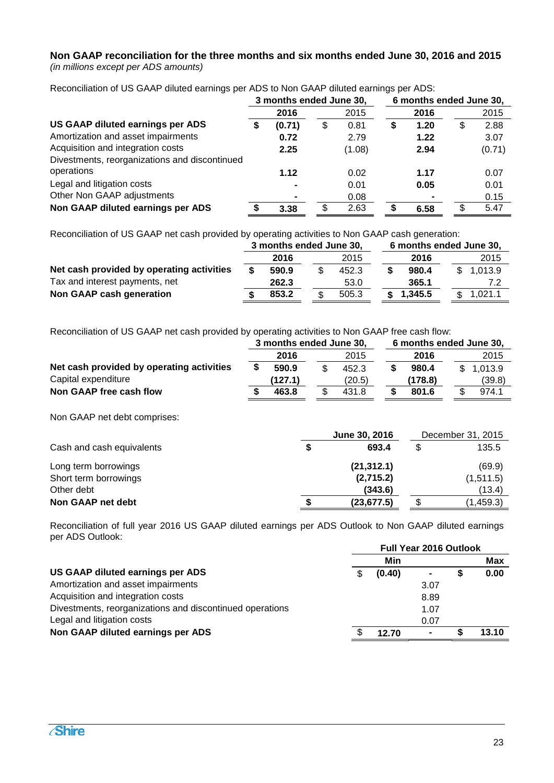#### **Non GAAP reconciliation for the three months and six months ended June 30, 2016 and 2015** *(in millions except per ADS amounts)*

Reconciliation of US GAAP diluted earnings per ADS to Non GAAP diluted earnings per ADS:

|                                               | 3 months ended June 30, |        |    |        | 6 months ended June 30, |      |    |        |  |
|-----------------------------------------------|-------------------------|--------|----|--------|-------------------------|------|----|--------|--|
|                                               |                         | 2016   |    | 2015   |                         | 2016 |    | 2015   |  |
| US GAAP diluted earnings per ADS              |                         | (0.71) | \$ | 0.81   | \$                      | 1.20 | \$ | 2.88   |  |
| Amortization and asset impairments            |                         | 0.72   |    | 2.79   |                         | 1.22 |    | 3.07   |  |
| Acquisition and integration costs             |                         | 2.25   |    | (1.08) |                         | 2.94 |    | (0.71) |  |
| Divestments, reorganizations and discontinued |                         |        |    |        |                         |      |    |        |  |
| operations                                    |                         | 1.12   |    | 0.02   |                         | 1.17 |    | 0.07   |  |
| Legal and litigation costs                    |                         |        |    | 0.01   |                         | 0.05 |    | 0.01   |  |
| Other Non GAAP adjustments                    |                         |        |    | 0.08   |                         |      |    | 0.15   |  |
| Non GAAP diluted earnings per ADS             |                         | 3.38   | S  | 2.63   |                         | 6.58 |    | 5.47   |  |

Reconciliation of US GAAP net cash provided by operating activities to Non GAAP cash generation:

|                                           | 3 months ended June 30, |       |  |       | 6 months ended June 30, |           |     |         |  |
|-------------------------------------------|-------------------------|-------|--|-------|-------------------------|-----------|-----|---------|--|
|                                           |                         | 2016  |  | 2015  |                         | 2016      |     | 2015    |  |
| Net cash provided by operating activities |                         | 590.9 |  | 452.3 |                         | 980.4     | \$. | 1,013.9 |  |
| Tax and interest payments, net            |                         | 262.3 |  | 53.0  |                         | 365.1     |     | 7.2     |  |
| Non GAAP cash generation                  |                         | 853.2 |  | 505.3 |                         | \$1,345.5 |     | 1,021.1 |  |

Reconciliation of US GAAP net cash provided by operating activities to Non GAAP free cash flow:

|                                           | 3 months ended June 30, |         |  | 6 months ended June 30, |  |         |  |           |
|-------------------------------------------|-------------------------|---------|--|-------------------------|--|---------|--|-----------|
|                                           |                         | 2016    |  | 2015                    |  | 2016    |  | 2015      |
| Net cash provided by operating activities |                         | 590.9   |  | 452.3                   |  | 980.4   |  | \$1.013.9 |
| Capital expenditure                       |                         | (127.1) |  | (20.5)                  |  | (178.8) |  | (39.8)    |
| Non GAAP free cash flow                   |                         | 463.8   |  | 431.8                   |  | 801.6   |  | 974.1     |

Non GAAP net debt comprises:

|                           |  | December 31, 2015 |  |           |  |
|---------------------------|--|-------------------|--|-----------|--|
| Cash and cash equivalents |  | 693.4             |  | 135.5     |  |
| Long term borrowings      |  | (21, 312.1)       |  | (69.9)    |  |
| Short term borrowings     |  | (2,715.2)         |  | (1,511.5) |  |
| Other debt                |  | (343.6)           |  | (13.4)    |  |
| Non GAAP net debt         |  | (23, 677.5)       |  | (1,459.3) |  |

Reconciliation of full year 2016 US GAAP diluted earnings per ADS Outlook to Non GAAP diluted earnings per ADS Outlook:

|                                                          | <b>Full Year 2016 Outlook</b> |        |                |  |       |
|----------------------------------------------------------|-------------------------------|--------|----------------|--|-------|
|                                                          |                               | Min    |                |  | Max   |
| US GAAP diluted earnings per ADS                         | S                             | (0.40) |                |  | 0.00  |
| Amortization and asset impairments                       |                               |        | 3.07           |  |       |
| Acquisition and integration costs                        |                               |        | 8.89           |  |       |
| Divestments, reorganizations and discontinued operations |                               |        | 1.07           |  |       |
| Legal and litigation costs                               |                               |        | 0.07           |  |       |
| Non GAAP diluted earnings per ADS                        | ß.                            | 12.70  | $\blacksquare$ |  | 13.10 |
|                                                          |                               |        |                |  |       |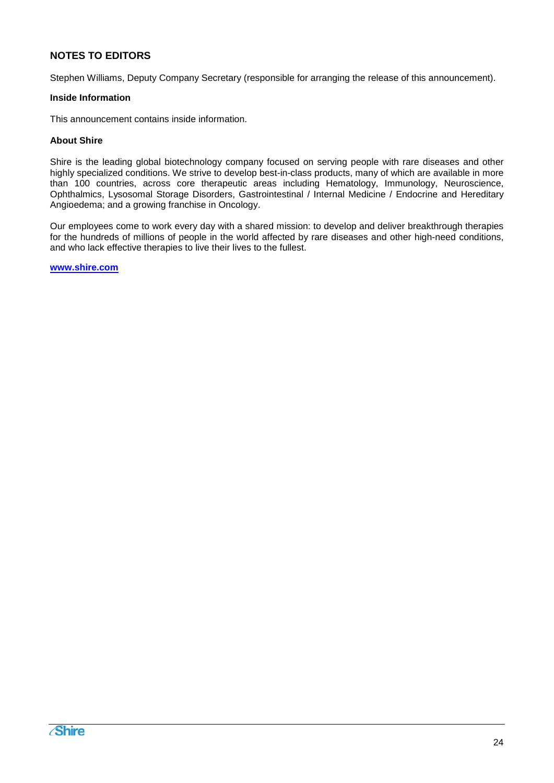# **NOTES TO EDITORS**

Stephen Williams, Deputy Company Secretary (responsible for arranging the release of this announcement).

## **Inside Information**

This announcement contains inside information.

#### **About Shire**

Shire is the leading global biotechnology company focused on serving people with rare diseases and other highly specialized conditions. We strive to develop best-in-class products, many of which are available in more than 100 countries, across core therapeutic areas including Hematology, Immunology, Neuroscience, Ophthalmics, Lysosomal Storage Disorders, Gastrointestinal / Internal Medicine / Endocrine and Hereditary Angioedema; and a growing franchise in Oncology.

Our employees come to work every day with a shared mission: to develop and deliver breakthrough therapies for the hundreds of millions of people in the world affected by rare diseases and other high-need conditions, and who lack effective therapies to live their lives to the fullest.

**[www.shire.com](http://www.shire.com/)**

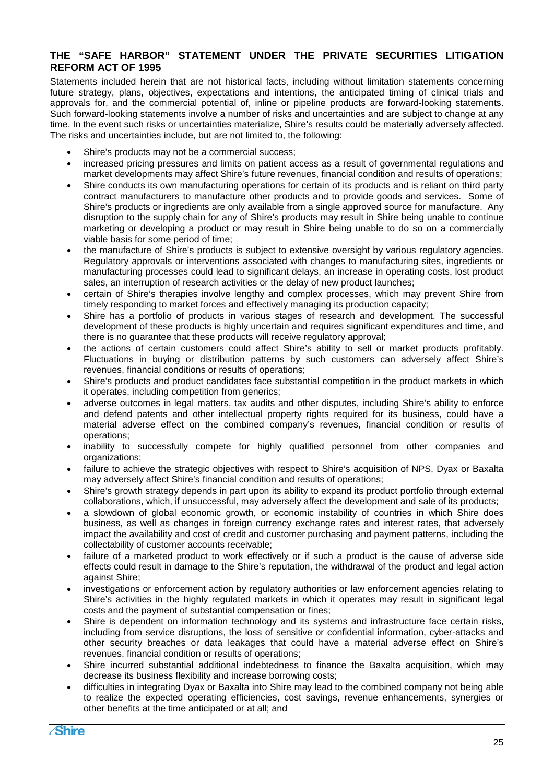# **THE "SAFE HARBOR" STATEMENT UNDER THE PRIVATE SECURITIES LITIGATION REFORM ACT OF 1995**

Statements included herein that are not historical facts, including without limitation statements concerning future strategy, plans, objectives, expectations and intentions, the anticipated timing of clinical trials and approvals for, and the commercial potential of, inline or pipeline products are forward-looking statements. Such forward-looking statements involve a number of risks and uncertainties and are subject to change at any time. In the event such risks or uncertainties materialize, Shire's results could be materially adversely affected. The risks and uncertainties include, but are not limited to, the following:

- Shire's products may not be a commercial success;
- increased pricing pressures and limits on patient access as a result of governmental regulations and market developments may affect Shire's future revenues, financial condition and results of operations;
- Shire conducts its own manufacturing operations for certain of its products and is reliant on third party contract manufacturers to manufacture other products and to provide goods and services. Some of Shire's products or ingredients are only available from a single approved source for manufacture. Any disruption to the supply chain for any of Shire's products may result in Shire being unable to continue marketing or developing a product or may result in Shire being unable to do so on a commercially viable basis for some period of time;
- the manufacture of Shire's products is subject to extensive oversight by various regulatory agencies. Regulatory approvals or interventions associated with changes to manufacturing sites, ingredients or manufacturing processes could lead to significant delays, an increase in operating costs, lost product sales, an interruption of research activities or the delay of new product launches;
- certain of Shire's therapies involve lengthy and complex processes, which may prevent Shire from timely responding to market forces and effectively managing its production capacity;
- Shire has a portfolio of products in various stages of research and development. The successful development of these products is highly uncertain and requires significant expenditures and time, and there is no guarantee that these products will receive regulatory approval;
- the actions of certain customers could affect Shire's ability to sell or market products profitably. Fluctuations in buying or distribution patterns by such customers can adversely affect Shire's revenues, financial conditions or results of operations;
- Shire's products and product candidates face substantial competition in the product markets in which it operates, including competition from generics;
- adverse outcomes in legal matters, tax audits and other disputes, including Shire's ability to enforce and defend patents and other intellectual property rights required for its business, could have a material adverse effect on the combined company's revenues, financial condition or results of operations;
- inability to successfully compete for highly qualified personnel from other companies and organizations;
- failure to achieve the strategic objectives with respect to Shire's acquisition of NPS, Dyax or Baxalta may adversely affect Shire's financial condition and results of operations;
- Shire's growth strategy depends in part upon its ability to expand its product portfolio through external collaborations, which, if unsuccessful, may adversely affect the development and sale of its products;
- a slowdown of global economic growth, or economic instability of countries in which Shire does business, as well as changes in foreign currency exchange rates and interest rates, that adversely impact the availability and cost of credit and customer purchasing and payment patterns, including the collectability of customer accounts receivable;
- failure of a marketed product to work effectively or if such a product is the cause of adverse side effects could result in damage to the Shire's reputation, the withdrawal of the product and legal action against Shire;
- investigations or enforcement action by regulatory authorities or law enforcement agencies relating to Shire's activities in the highly regulated markets in which it operates may result in significant legal costs and the payment of substantial compensation or fines;
- Shire is dependent on information technology and its systems and infrastructure face certain risks, including from service disruptions, the loss of sensitive or confidential information, cyber-attacks and other security breaches or data leakages that could have a material adverse effect on Shire's revenues, financial condition or results of operations;
- Shire incurred substantial additional indebtedness to finance the Baxalta acquisition, which may decrease its business flexibility and increase borrowing costs;
- difficulties in integrating Dyax or Baxalta into Shire may lead to the combined company not being able to realize the expected operating efficiencies, cost savings, revenue enhancements, synergies or other benefits at the time anticipated or at all; and

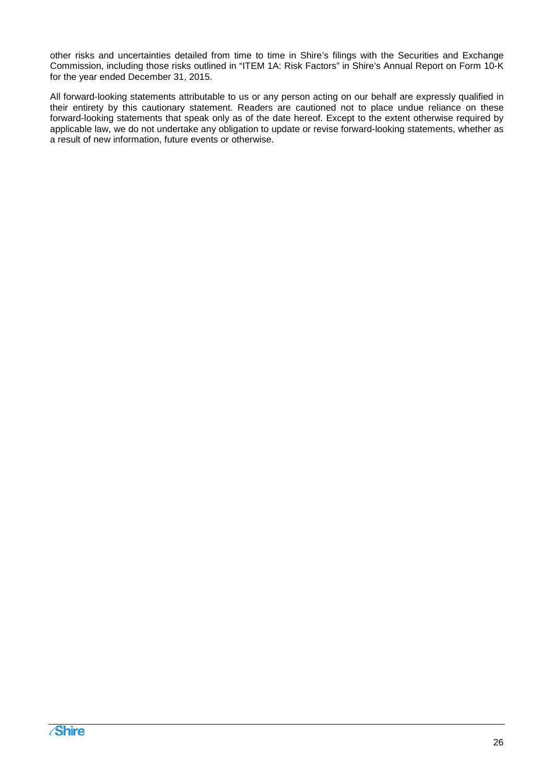other risks and uncertainties detailed from time to time in Shire's filings with the Securities and Exchange Commission, including those risks outlined in "ITEM 1A: Risk Factors" in Shire's Annual Report on Form 10-K for the year ended December 31, 2015.

All forward-looking statements attributable to us or any person acting on our behalf are expressly qualified in their entirety by this cautionary statement. Readers are cautioned not to place undue reliance on these forward-looking statements that speak only as of the date hereof. Except to the extent otherwise required by applicable law, we do not undertake any obligation to update or revise forward-looking statements, whether as a result of new information, future events or otherwise.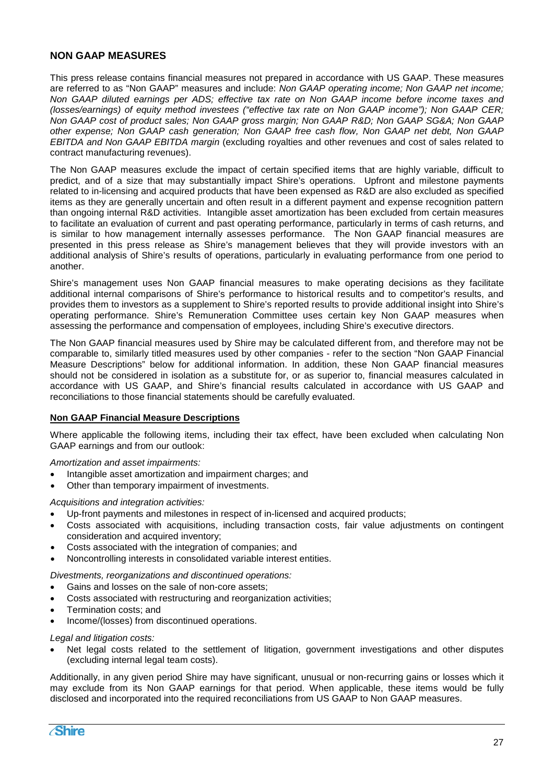# **NON GAAP MEASURES**

This press release contains financial measures not prepared in accordance with US GAAP. These measures are referred to as "Non GAAP" measures and include: *Non GAAP operating income; Non GAAP net income; Non GAAP diluted earnings per ADS; effective tax rate on Non GAAP income before income taxes and (losses/earnings) of equity method investees ("effective tax rate on Non GAAP income"); Non GAAP CER; Non GAAP cost of product sales; Non GAAP gross margin; Non GAAP R&D; Non GAAP SG&A; Non GAAP other expense; Non GAAP cash generation; Non GAAP free cash flow, Non GAAP net debt, Non GAAP EBITDA and Non GAAP EBITDA margin* (excluding royalties and other revenues and cost of sales related to contract manufacturing revenues).

The Non GAAP measures exclude the impact of certain specified items that are highly variable, difficult to predict, and of a size that may substantially impact Shire's operations. Upfront and milestone payments related to in-licensing and acquired products that have been expensed as R&D are also excluded as specified items as they are generally uncertain and often result in a different payment and expense recognition pattern than ongoing internal R&D activities. Intangible asset amortization has been excluded from certain measures to facilitate an evaluation of current and past operating performance, particularly in terms of cash returns, and is similar to how management internally assesses performance. The Non GAAP financial measures are presented in this press release as Shire's management believes that they will provide investors with an additional analysis of Shire's results of operations, particularly in evaluating performance from one period to another.

Shire's management uses Non GAAP financial measures to make operating decisions as they facilitate additional internal comparisons of Shire's performance to historical results and to competitor's results, and provides them to investors as a supplement to Shire's reported results to provide additional insight into Shire's operating performance. Shire's Remuneration Committee uses certain key Non GAAP measures when assessing the performance and compensation of employees, including Shire's executive directors.

The Non GAAP financial measures used by Shire may be calculated different from, and therefore may not be comparable to, similarly titled measures used by other companies - refer to the section "Non GAAP Financial Measure Descriptions" below for additional information. In addition, these Non GAAP financial measures should not be considered in isolation as a substitute for, or as superior to, financial measures calculated in accordance with US GAAP, and Shire's financial results calculated in accordance with US GAAP and reconciliations to those financial statements should be carefully evaluated.

#### **Non GAAP Financial Measure Descriptions**

Where applicable the following items, including their tax effect, have been excluded when calculating Non GAAP earnings and from our outlook:

*Amortization and asset impairments:*

- Intangible asset amortization and impairment charges; and
- Other than temporary impairment of investments.

#### *Acquisitions and integration activities:*

- Up-front payments and milestones in respect of in-licensed and acquired products;
- Costs associated with acquisitions, including transaction costs, fair value adjustments on contingent consideration and acquired inventory;
- Costs associated with the integration of companies; and
- Noncontrolling interests in consolidated variable interest entities.

*Divestments, reorganizations and discontinued operations:*

- Gains and losses on the sale of non-core assets;
- Costs associated with restructuring and reorganization activities;
- Termination costs; and
- Income/(losses) from discontinued operations.

#### *Legal and litigation costs:*

• Net legal costs related to the settlement of litigation, government investigations and other disputes (excluding internal legal team costs).

Additionally, in any given period Shire may have significant, unusual or non-recurring gains or losses which it may exclude from its Non GAAP earnings for that period. When applicable, these items would be fully disclosed and incorporated into the required reconciliations from US GAAP to Non GAAP measures.